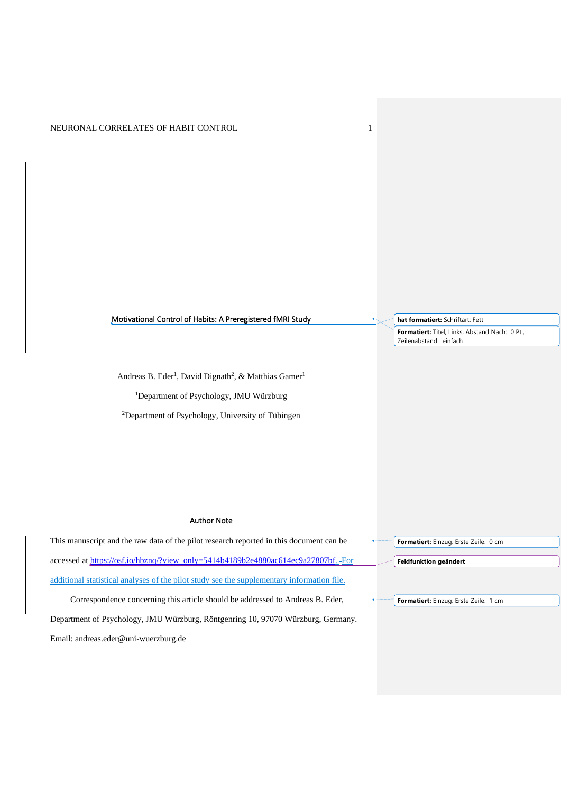## Motivational Control of Habits: A Preregistered fMRI Study

Andreas B. Eder<sup>1</sup>, David Dignath<sup>2</sup>, & Matthias Gamer<sup>1</sup>

<sup>1</sup>Department of Psychology, JMU Würzburg

<sup>2</sup>Department of Psychology, University of Tübingen

## Author Note

This manuscript and the raw data of the pilot research reported in this document can be accessed at [https://osf.io/hbznq/?view\\_only=5414b4189b2e4880ac614ec9a27807bf.](https://osf.io/hbznq/?view_only=5414b4189b2e4880ac614ec9a27807bf) -For additional statistical analyses of the pilot study see the supplementary information file.

Correspondence concerning this article should be addressed to Andreas B. Eder, Department of Psychology, JMU Würzburg, Röntgenring 10, 97070 Würzburg, Germany. Email: andreas.eder@uni-wuerzburg.de

| Formatiert: Einzug: Erste Zeile: 0 cm |
|---------------------------------------|
|                                       |
| Feldfunktion geändert                 |

**Formatiert:** Einzug: Erste Zeile: 1 cm

**hat formatiert:** Schriftart: Fett

**Formatiert:** Titel, Links, Abstand Nach: 0 Pt., Zeilenabstand: einfach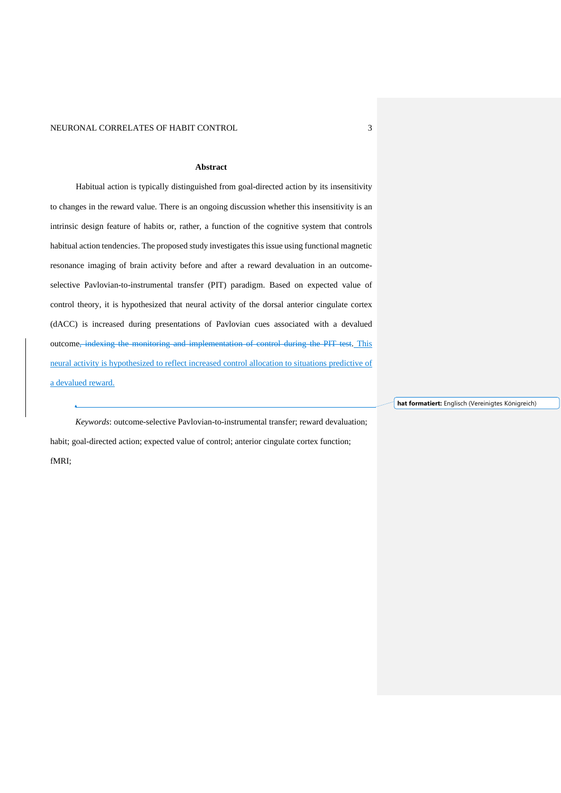#### **Abstract**

Habitual action is typically distinguished from goal-directed action by its insensitivity to changes in the reward value. There is an ongoing discussion whether this insensitivity is an intrinsic design feature of habits or, rather, a function of the cognitive system that controls habitual action tendencies. The proposed study investigates this issue using functional magnetic resonance imaging of brain activity before and after a reward devaluation in an outcomeselective Pavlovian-to-instrumental transfer (PIT) paradigm. Based on expected value of control theory, it is hypothesized that neural activity of the dorsal anterior cingulate cortex (dACC) is increased during presentations of Pavlovian cues associated with a devalued outcome, indexing the monitoring and implementation of control during the PIT test. This neural activity is hypothesized to reflect increased control allocation to situations predictive of a devalued reward.

**hat formatiert:** Englisch (Vereinigtes Königreich)

*Keywords*: outcome-selective Pavlovian-to-instrumental transfer; reward devaluation; habit; goal-directed action; expected value of control; anterior cingulate cortex function; fMRI;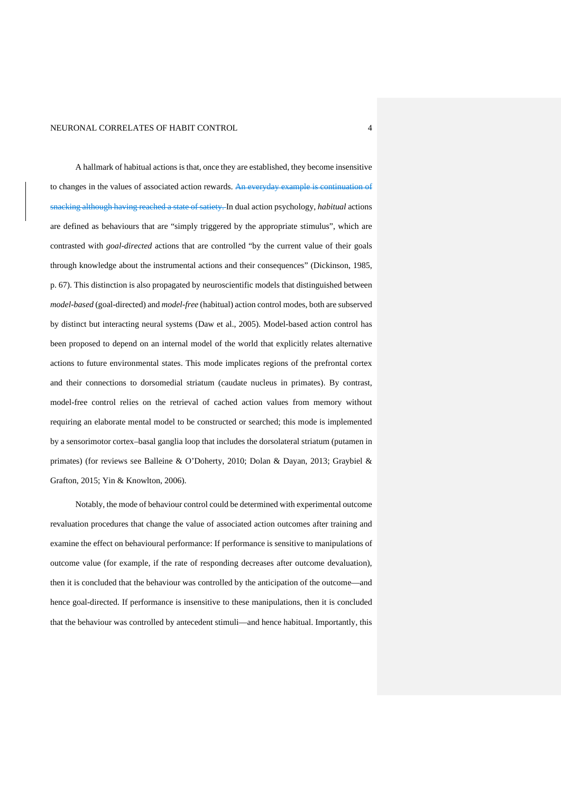A hallmark of habitual actions is that, once they are established, they become insensitive to changes in the values of associated action rewards. An everyday example is continuation of snacking although having reached a state of satiety. In dual action psychology, *habitual* actions are defined as behaviours that are "simply triggered by the appropriate stimulus", which are contrasted with *goal-directed* actions that are controlled "by the current value of their goals through knowledge about the instrumental actions and their consequences" (Dickinson, 1985, p. 67). This distinction is also propagated by neuroscientific models that distinguished between *model-based* (goal-directed) and *model-free* (habitual) action control modes, both are subserved by distinct but interacting neural systems (Daw et al., 2005). Model-based action control has been proposed to depend on an internal model of the world that explicitly relates alternative actions to future environmental states. This mode implicates regions of the prefrontal cortex and their connections to dorsomedial striatum (caudate nucleus in primates). By contrast, model-free control relies on the retrieval of cached action values from memory without requiring an elaborate mental model to be constructed or searched; this mode is implemented by a sensorimotor cortex–basal ganglia loop that includes the dorsolateral striatum (putamen in primates) (for reviews see Balleine & O'Doherty, 2010; Dolan & Dayan, 2013; Graybiel & Grafton, 2015; Yin & Knowlton, 2006).

Notably, the mode of behaviour control could be determined with experimental outcome revaluation procedures that change the value of associated action outcomes after training and examine the effect on behavioural performance: If performance is sensitive to manipulations of outcome value (for example, if the rate of responding decreases after outcome devaluation), then it is concluded that the behaviour was controlled by the anticipation of the outcome—and hence goal-directed. If performance is insensitive to these manipulations, then it is concluded that the behaviour was controlled by antecedent stimuli—and hence habitual. Importantly, this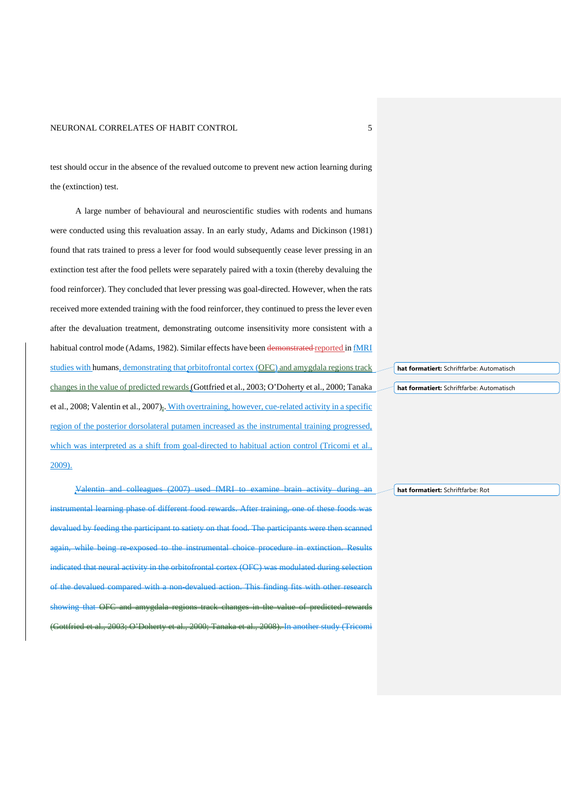test should occur in the absence of the revalued outcome to prevent new action learning during the (extinction) test.

A large number of behavioural and neuroscientific studies with rodents and humans were conducted using this revaluation assay. In an early study, Adams and Dickinson (1981) found that rats trained to press a lever for food would subsequently cease lever pressing in an extinction test after the food pellets were separately paired with a toxin (thereby devaluing the food reinforcer). They concluded that lever pressing was goal-directed. However, when the rats received more extended training with the food reinforcer, they continued to press the lever even after the devaluation treatment, demonstrating outcome insensitivity more consistent with a habitual control mode (Adams, 1982). Similar effects have been demonstrated reported in fMRI studies with humans, demonstrating that orbitofrontal cortex (OFC) and amygdala regions track changes in the value of predicted rewards (Gottfried et al., 2003; O'Doherty et al., 2000; Tanaka et al., 2008; Valentin et al., 2007). With overtraining, however, cue-related activity in a specific region of the posterior dorsolateral putamen increased as the instrumental training progressed, which was interpreted as a shift from goal-directed to habitual action control (Tricomi et al., 2009).

Valentin and colleagues (2007) used fMRI to examine brain activity during an instrumental learning phase of different food rewards. After training, one of these foods was devalued by feeding the participant to satiety on that food. The participants were then scanned again, while being re-exposed to the instrumental choice procedure in extinction. Results indicated that neural activity in the orbitofrontal cortex (OFC) was modulated during selection of the devalued compared with a non-devalued action. This finding fits with other research showing that OFC and amygdala regions track changes in the value of predicted rewards (Gottfried et al., 2003; O'Doherty et al., 2000; Tanaka et al., 2008). In another study (Tricomi

**hat formatiert:** Schriftfarbe: Automatisch

**hat formatiert:** Schriftfarbe: Automatisch

**hat formatiert:** Schriftfarbe: Rot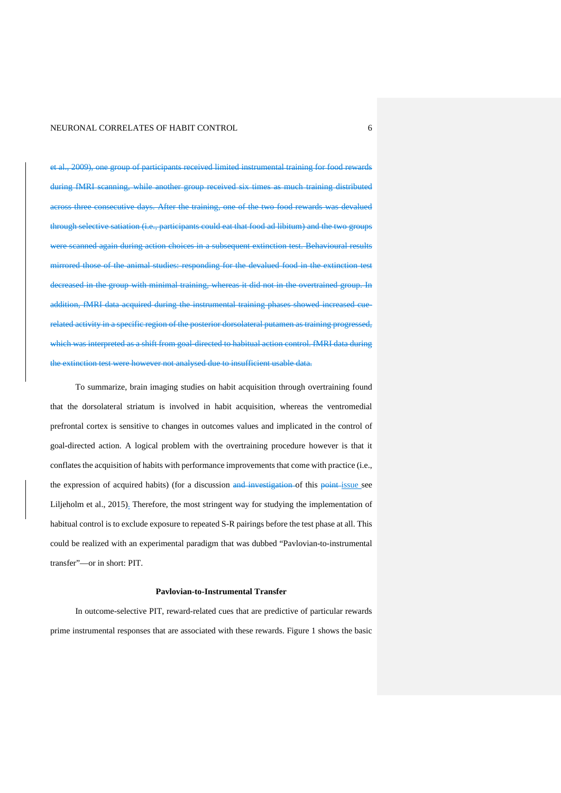et al., 2009), one group of participants received limited instrumental training for food rewards during fMRI scanning, while another group received six times as much training distributed across three consecutive days. After the training, one of the two food rewards was devalued through selective satiation (i.e., participants could eat that food ad libitum) and the two groups were scanned again during action choices in a subsequent extinction test. Behavioural results mirrored those of the animal studies: responding for the devalued food in the extinction test decreased in the group with minimal training, whereas it did not in the overtrained group. In addition, fMRI data acquired during the instrumental training phases showed increased cuerelated activity in a specific region of the posterior dorsolateral putamen as training progressed, which was interpreted as a shift from goal-directed to habitual action control. fMRI data during the extinction test were however not analysed due to insufficient usable data.

To summarize, brain imaging studies on habit acquisition through overtraining found that the dorsolateral striatum is involved in habit acquisition, whereas the ventromedial prefrontal cortex is sensitive to changes in outcomes values and implicated in the control of goal-directed action. A logical problem with the overtraining procedure however is that it conflates the acquisition of habits with performance improvements that come with practice (i.e., the expression of acquired habits) (for a discussion and investigation of this point issue see Liljeholm et al., 2015). Therefore, the most stringent way for studying the implementation of habitual control is to exclude exposure to repeated S-R pairings before the test phase at all. This could be realized with an experimental paradigm that was dubbed "Pavlovian-to-instrumental transfer"—or in short: PIT.

#### **Pavlovian-to-Instrumental Transfer**

In outcome-selective PIT, reward-related cues that are predictive of particular rewards prime instrumental responses that are associated with these rewards. Figure 1 shows the basic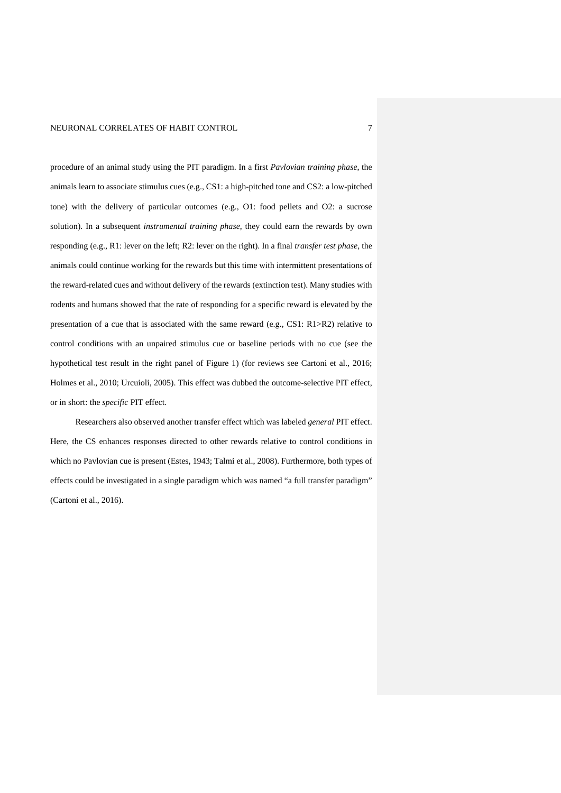procedure of an animal study using the PIT paradigm. In a first *Pavlovian training phase*, the animals learn to associate stimulus cues (e.g., CS1: a high-pitched tone and CS2: a low-pitched tone) with the delivery of particular outcomes (e.g., O1: food pellets and O2: a sucrose solution). In a subsequent *instrumental training phase*, they could earn the rewards by own responding (e.g., R1: lever on the left; R2: lever on the right). In a final *transfer test phase*, the animals could continue working for the rewards but this time with intermittent presentations of the reward-related cues and without delivery of the rewards (extinction test). Many studies with rodents and humans showed that the rate of responding for a specific reward is elevated by the presentation of a cue that is associated with the same reward (e.g., CS1: R1>R2) relative to control conditions with an unpaired stimulus cue or baseline periods with no cue (see the hypothetical test result in the right panel of Figure 1) (for reviews see Cartoni et al., 2016; Holmes et al., 2010; Urcuioli, 2005). This effect was dubbed the outcome-selective PIT effect, or in short: the *specific* PIT effect.

Researchers also observed another transfer effect which was labeled *general* PIT effect. Here, the CS enhances responses directed to other rewards relative to control conditions in which no Pavlovian cue is present (Estes, 1943; Talmi et al., 2008). Furthermore, both types of effects could be investigated in a single paradigm which was named "a full transfer paradigm" (Cartoni et al., 2016).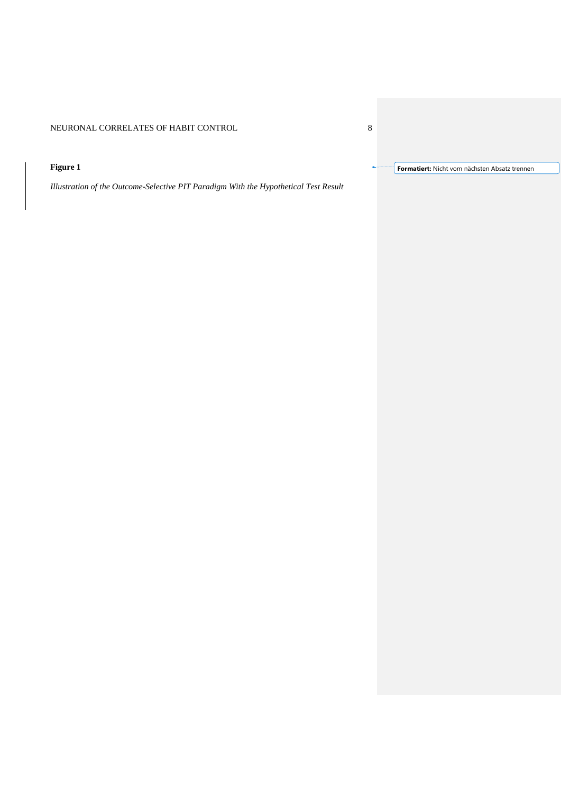# **Figure 1**

*Illustration of the Outcome-Selective PIT Paradigm With the Hypothetical Test Result*

**Formatiert:** Nicht vom nächsten Absatz trennen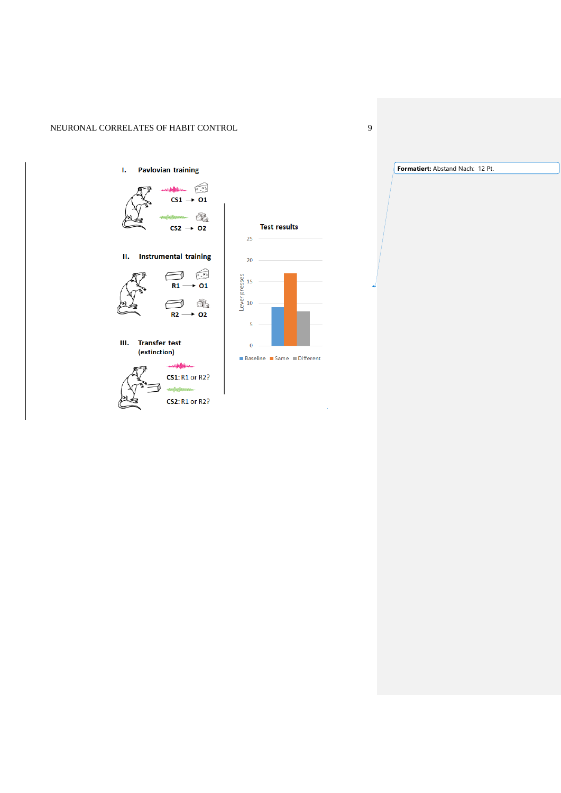## <span id="page-8-0"></span>I. Pavlovian training



II. Instrumental training



III. Transfer test (extinction)





■ Baseline ■ Same ■ Different

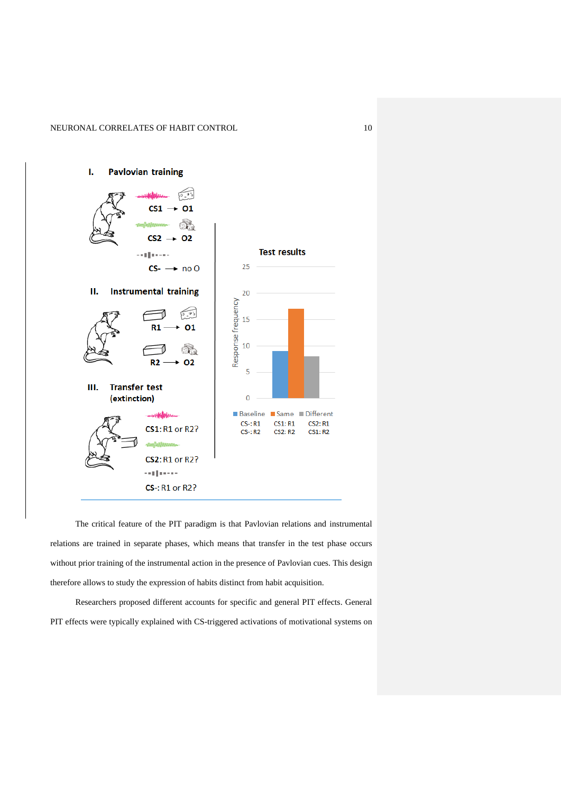

The critical feature of the PIT paradigm is that Pavlovian relations and instrumental relations are trained in separate phases, which means that transfer in the test phase occurs without prior training of the instrumental action in the presence of Pavlovian cues. This design therefore allows to study the expression of habits distinct from habit acquisition.

Researchers proposed different accounts for specific and general PIT effects. General PIT effects were typically explained with CS-triggered activations of motivational systems on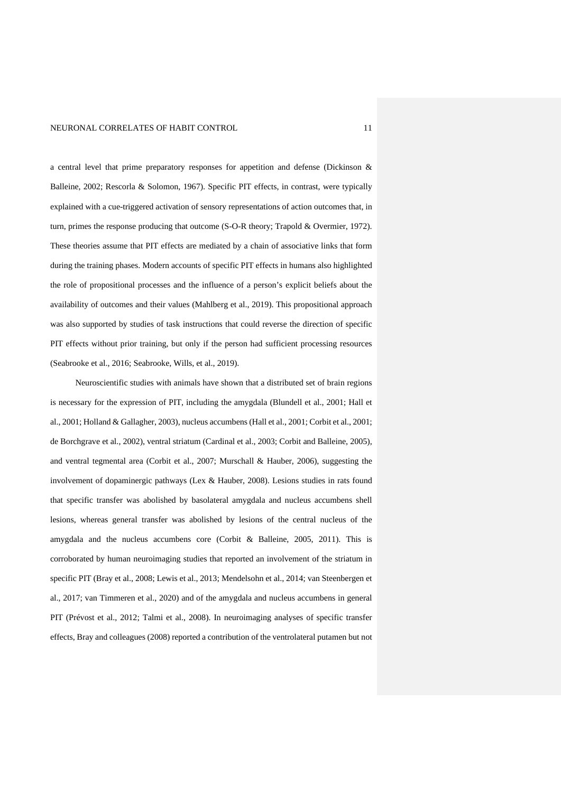a central level that prime preparatory responses for appetition and defense (Dickinson & Balleine, 2002; Rescorla & Solomon, 1967). Specific PIT effects, in contrast, were typically explained with a cue-triggered activation of sensory representations of action outcomes that, in turn, primes the response producing that outcome (S-O-R theory; Trapold & Overmier, 1972). These theories assume that PIT effects are mediated by a chain of associative links that form during the training phases. Modern accounts of specific PIT effects in humans also highlighted the role of propositional processes and the influence of a person's explicit beliefs about the availability of outcomes and their values (Mahlberg et al., 2019). This propositional approach was also supported by studies of task instructions that could reverse the direction of specific PIT effects without prior training, but only if the person had sufficient processing resources (Seabrooke et al., 2016; Seabrooke, Wills, et al., 2019).

Neuroscientific studies with animals have shown that a distributed set of brain regions is necessary for the expression of PIT, including the amygdala (Blundell et al., 2001; Hall et al., 2001; Holland & Gallagher, 2003), nucleus accumbens (Hall et al., 2001; Corbit et al., 2001; de Borchgrave et al., 2002), ventral striatum (Cardinal et al., 2003; Corbit and Balleine, 2005), and ventral tegmental area (Corbit et al., 2007; Murschall & Hauber, 2006), suggesting the involvement of dopaminergic pathways (Lex & Hauber, 2008). Lesions studies in rats found that specific transfer was abolished by basolateral amygdala and nucleus accumbens shell lesions, whereas general transfer was abolished by lesions of the central nucleus of the amygdala and the nucleus accumbens core (Corbit & Balleine, 2005, 2011). This is corroborated by human neuroimaging studies that reported an involvement of the striatum in specific PIT (Bray et al., 2008; Lewis et al., 2013; Mendelsohn et al., 2014; van Steenbergen et al., 2017; van Timmeren et al., 2020) and of the amygdala and nucleus accumbens in general PIT (Prévost et al., 2012; Talmi et al., 2008). In neuroimaging analyses of specific transfer effects, Bray and colleagues (2008) reported a contribution of the ventrolateral putamen but not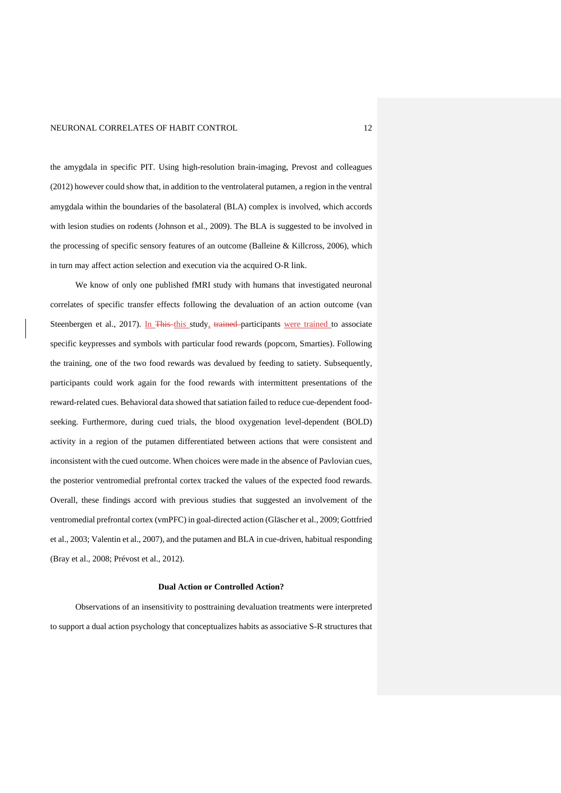the amygdala in specific PIT. Using high-resolution brain-imaging, Prevost and colleagues (2012) however could show that, in addition to the ventrolateral putamen, a region in the ventral amygdala within the boundaries of the basolateral (BLA) complex is involved, which accords with lesion studies on rodents (Johnson et al., 2009). The BLA is suggested to be involved in the processing of specific sensory features of an outcome (Balleine  $&$  Killcross, 2006), which in turn may affect action selection and execution via the acquired O-R link.

We know of only one published fMRI study with humans that investigated neuronal correlates of specific transfer effects following the devaluation of an action outcome (van Steenbergen et al., 2017). In This this study, trained participants were trained to associate specific keypresses and symbols with particular food rewards (popcorn, Smarties). Following the training, one of the two food rewards was devalued by feeding to satiety. Subsequently, participants could work again for the food rewards with intermittent presentations of the reward-related cues. Behavioral data showed that satiation failed to reduce cue-dependent foodseeking. Furthermore, during cued trials, the blood oxygenation level-dependent (BOLD) activity in a region of the putamen differentiated between actions that were consistent and inconsistent with the cued outcome. When choices were made in the absence of Pavlovian cues, the posterior ventromedial prefrontal cortex tracked the values of the expected food rewards. Overall, these findings accord with previous studies that suggested an involvement of the ventromedial prefrontal cortex (vmPFC) in goal-directed action (Gläscher et al., 2009; Gottfried et al., 2003; Valentin et al., 2007), and the putamen and BLA in cue-driven, habitual responding (Bray et al., 2008; Prévost et al., 2012).

#### **Dual Action or Controlled Action?**

Observations of an insensitivity to posttraining devaluation treatments were interpreted to support a dual action psychology that conceptualizes habits as associative S-R structures that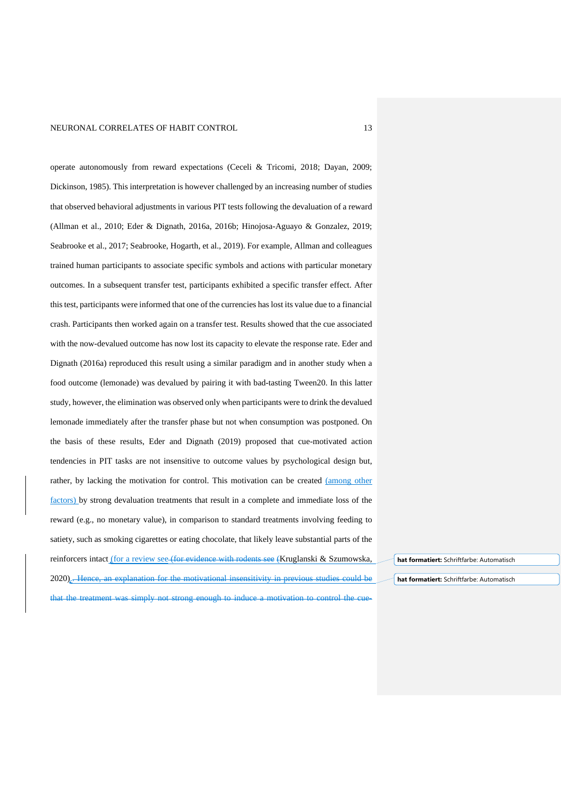operate autonomously from reward expectations (Ceceli & Tricomi, 2018; Dayan, 2009; Dickinson, 1985). This interpretation is however challenged by an increasing number of studies that observed behavioral adjustments in various PIT tests following the devaluation of a reward (Allman et al., 2010; Eder & Dignath, 2016a, 2016b; Hinojosa-Aguayo & Gonzalez, 2019; Seabrooke et al., 2017; Seabrooke, Hogarth, et al., 2019). For example, Allman and colleagues trained human participants to associate specific symbols and actions with particular monetary outcomes. In a subsequent transfer test, participants exhibited a specific transfer effect. After thistest, participants were informed that one of the currencies has lost its value due to a financial crash. Participants then worked again on a transfer test. Results showed that the cue associated with the now-devalued outcome has now lost its capacity to elevate the response rate. Eder and Dignath (2016a) reproduced this result using a similar paradigm and in another study when a food outcome (lemonade) was devalued by pairing it with bad-tasting Tween20. In this latter study, however, the elimination was observed only when participants were to drink the devalued lemonade immediately after the transfer phase but not when consumption was postponed. On the basis of these results, Eder and Dignath (2019) proposed that cue-motivated action tendencies in PIT tasks are not insensitive to outcome values by psychological design but, rather, by lacking the motivation for control. This motivation can be created (among other factors) by strong devaluation treatments that result in a complete and immediate loss of the reward (e.g., no monetary value), in comparison to standard treatments involving feeding to satiety, such as smoking cigarettes or eating chocolate, that likely leave substantial parts of the reinforcers intact (for a review see (for evidence with rodents see (Kruglanski & Szumowska, 2020).. Hence, an explanation for the motivational insensitivity in previous studies could be

**hat formatiert:** Schriftfarbe: Automatisch

**hat formatiert:** Schriftfarbe: Automatisch

that the treatment was simply not strong enough to induce a motivation to control the cue-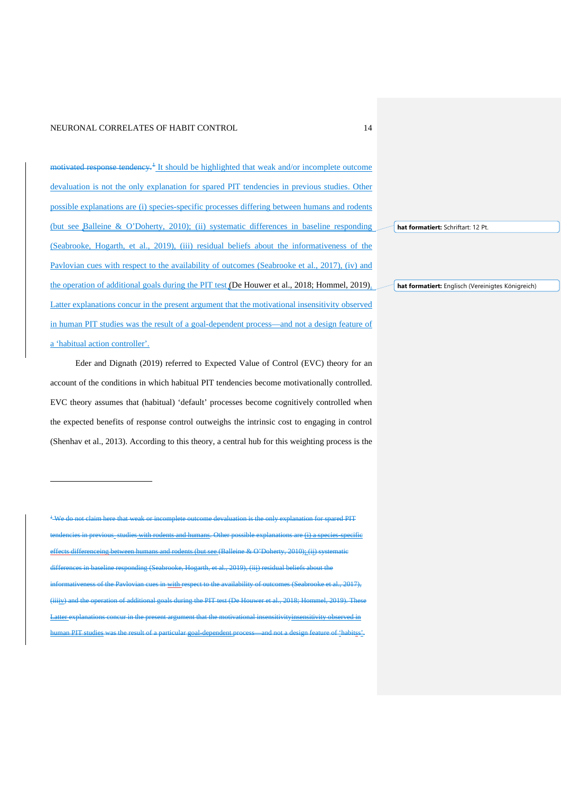motivated response tendency.<sup>[1](#page-8-0)</sup> It should be highlighted that weak and/or incomplete outcome devaluation is not the only explanation for spared PIT tendencies in previous studies. Other possible explanations are (i) species-specific processes differing between humans and rodents (but see Balleine & O'Doherty, 2010); (ii) systematic differences in baseline responding (Seabrooke, Hogarth, et al., 2019), (iii) residual beliefs about the informativeness of the Pavlovian cues with respect to the availability of outcomes (Seabrooke et al., 2017), (iv) and the operation of additional goals during the PIT test (De Houwer et al., 2018; Hommel, 2019). Latter explanations concur in the present argument that the motivational insensitivity observed in human PIT studies was the result of a goal-dependent process—and not a design feature of a 'habitual action controller'.

Eder and Dignath (2019) referred to Expected Value of Control (EVC) theory for an account of the conditions in which habitual PIT tendencies become motivationally controlled. EVC theory assumes that (habitual) 'default' processes become cognitively controlled when the expected benefits of response control outweighs the intrinsic cost to engaging in control (Shenhav et al., 2013). According to this theory, a central hub for this weighting process is the

<sup>1</sup> We do not claim here that weak or incomplete outcome devaluation is the only explanation for spared PIT studies with rodents and humans. Other possible explanations are <u>(i) a species-specific</u> effects differenceing between humans and rodents (but see (Balleine & O'Doherty, 2010); (ii) systematic differences in baseline responding (Seabrooke, Hogarth, et al., 2019), (iii) residual beliefs about the informativeness of the Pavlovian cues in with respect to the availability of outcomes (Seabrooke et al., 2017), (iiiiv) and the operation of additional goals during the PIT test (De Houwer et al., 2018; Hommel, 2019). The lanations concur in the present argument that the motivational insensitivityinsensitivity observed in PIT studies was the result of a particular goal-dependent process—and not a design feature of 'habitss'. **hat formatiert:** Englisch (Vereinigtes Königreich)

**hat formatiert:** Schriftart: 12 Pt.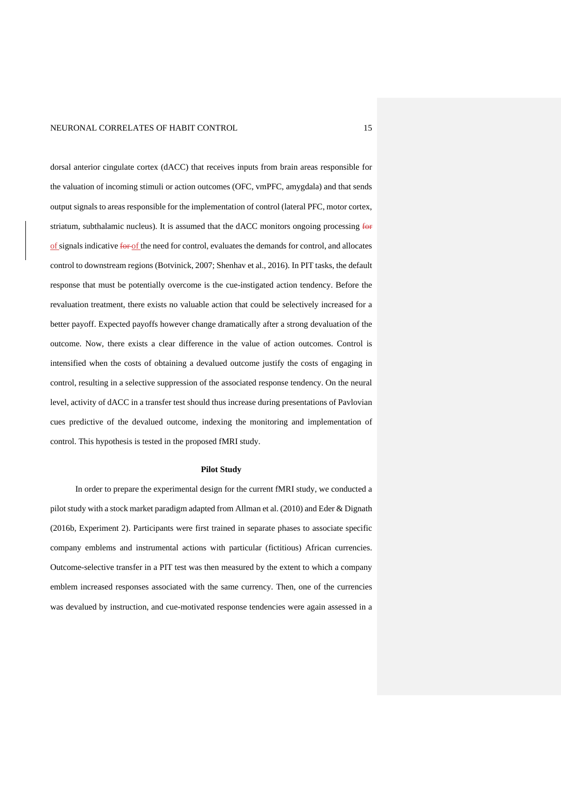dorsal anterior cingulate cortex (dACC) that receives inputs from brain areas responsible for the valuation of incoming stimuli or action outcomes (OFC, vmPFC, amygdala) and that sends output signals to areas responsible for the implementation of control (lateral PFC, motor cortex, striatum, subthalamic nucleus). It is assumed that the dACC monitors ongoing processing for of signals indicative for of the need for control, evaluates the demands for control, and allocates control to downstream regions (Botvinick, 2007; Shenhav et al., 2016). In PIT tasks, the default response that must be potentially overcome is the cue-instigated action tendency. Before the revaluation treatment, there exists no valuable action that could be selectively increased for a better payoff. Expected payoffs however change dramatically after a strong devaluation of the outcome. Now, there exists a clear difference in the value of action outcomes. Control is intensified when the costs of obtaining a devalued outcome justify the costs of engaging in control, resulting in a selective suppression of the associated response tendency. On the neural level, activity of dACC in a transfer test should thus increase during presentations of Pavlovian cues predictive of the devalued outcome, indexing the monitoring and implementation of control. This hypothesis is tested in the proposed fMRI study.

#### **Pilot Study**

In order to prepare the experimental design for the current fMRI study, we conducted a pilot study with a stock market paradigm adapted from Allman et al. (2010) and Eder & Dignath (2016b, Experiment 2). Participants were first trained in separate phases to associate specific company emblems and instrumental actions with particular (fictitious) African currencies. Outcome-selective transfer in a PIT test was then measured by the extent to which a company emblem increased responses associated with the same currency. Then, one of the currencies was devalued by instruction, and cue-motivated response tendencies were again assessed in a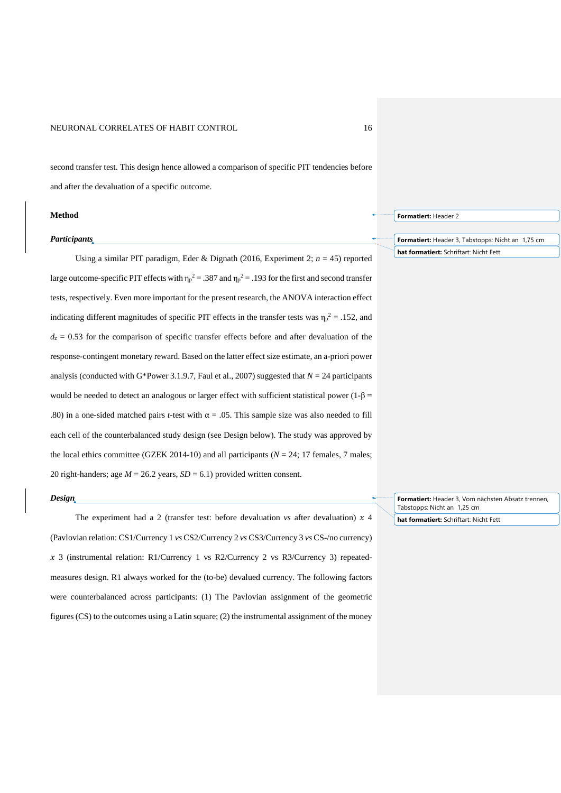second transfer test. This design hence allowed a comparison of specific PIT tendencies before and after the devaluation of a specific outcome.

#### **Method**

#### *Participants*

Using a similar PIT paradigm, Eder & Dignath (2016, Experiment 2; *n* = 45) reported large outcome-specific PIT effects with  $\eta_p^2 = .387$  and  $\eta_p^2 = .193$  for the first and second transfer tests, respectively. Even more important for the present research, the ANOVA interaction effect indicating different magnitudes of specific PIT effects in the transfer tests was  $\eta_p^2 = .152$ , and  $d_z = 0.53$  for the comparison of specific transfer effects before and after devaluation of the response-contingent monetary reward. Based on the latter effect size estimate, an a-priori power analysis (conducted with G\*Power 3.1.9.7, Faul et al., 2007) suggested that  $N = 24$  participants would be needed to detect an analogous or larger effect with sufficient statistical power (1-β = .80) in a one-sided matched pairs *t*-test with  $\alpha = .05$ . This sample size was also needed to fill each cell of the counterbalanced study design (see Design below). The study was approved by the local ethics committee (GZEK 2014-10) and all participants ( $N = 24$ ; 17 females, 7 males; 20 right-handers; age  $M = 26.2$  years,  $SD = 6.1$ ) provided written consent.

## *Design*

The experiment had a 2 (transfer test: before devaluation *vs* after devaluation)  $x$  4 (Pavlovian relation: CS1/Currency 1 *vs* CS2/Currency 2 *vs* CS3/Currency 3 *vs* CS-/no currency)  $x$  3 (instrumental relation: R1/Currency 1 vs R2/Currency 2 vs R3/Currency 3) repeatedmeasures design. R1 always worked for the (to-be) devalued currency. The following factors were counterbalanced across participants: (1) The Pavlovian assignment of the geometric figures (CS) to the outcomes using a Latin square; (2) the instrumental assignment of the money

**Formatiert:** Header 2

**Formatiert:** Header 3, Tabstopps: Nicht an 1,75 cm **hat formatiert:** Schriftart: Nicht Fett

**Formatiert:** Header 3, Vom nächsten Absatz trennen, Tabstopps: Nicht an 1,25 cm

**hat formatiert:** Schriftart: Nicht Fett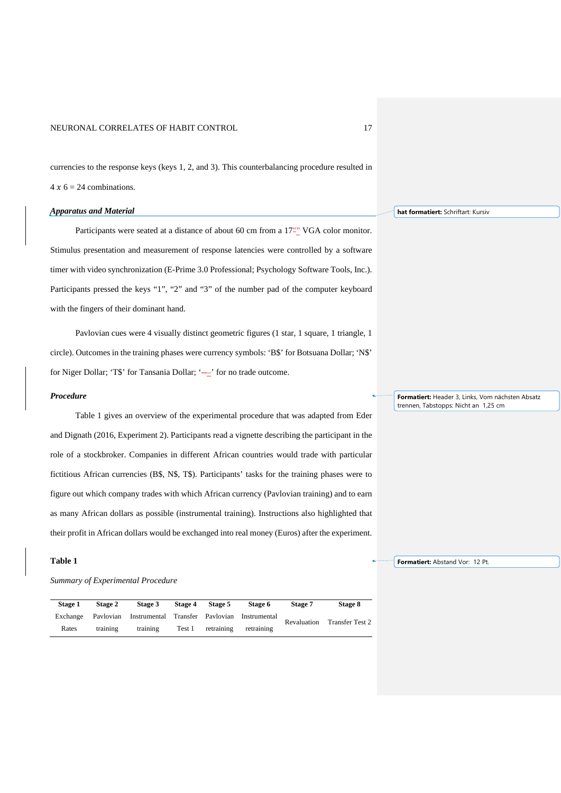currencies to the response keys (keys 1, 2, and 3). This counterbalancing procedure resulted in  $4 x 6 = 24$  combinations.

## *Apparatus and Material*

Participants were seated at a distance of about 60 cm from a 17<sup>-2</sup> VGA color monitor. Stimulus presentation and measurement of response latencies were controlled by a software timer with video synchronization (E-Prime 3.0 Professional; Psychology Software Tools, Inc.). Participants pressed the keys "1", "2" and "3" of the number pad of the computer keyboard with the fingers of their dominant hand.

Pavlovian cues were 4 visually distinct geometric figures (1 star, 1 square, 1 triangle, 1 circle). Outcomes in the training phases were currency symbols: 'B\$' for Botsuana Dollar; 'N\$' for Niger Dollar; 'T\$' for Tansania Dollar; '---' for no trade outcome.

#### *Procedure*

Table 1 gives an overview of the experimental procedure that was adapted from Eder and Dignath (2016, Experiment 2). Participants read a vignette describing the participant in the role of a stockbroker. Companies in different African countries would trade with particular fictitious African currencies (B\$, N\$, T\$). Participants' tasks for the training phases were to figure out which company trades with which African currency (Pavlovian training) and to earn as many African dollars as possible (instrumental training). Instructions also highlighted that their profit in African dollars would be exchanged into real money (Euros) after the experiment.

## **Table 1**

## *Summary of Experimental Procedure*

| Stage 1  | Stage 2  | <b>Stage 3</b>                                         | Stage 4 | Stage 5    | Stage 6    | Stage 7            | Stage 8         |
|----------|----------|--------------------------------------------------------|---------|------------|------------|--------------------|-----------------|
| Exchange |          | Paylovian Instrumental Transfer Paylovian Instrumental |         |            |            | <b>Revaluation</b> | Transfer Test 2 |
| Rates    | training | training                                               | Test 1  | retraining | retraining |                    |                 |

**hat formatiert:** Schriftart: Kursiv

**Formatiert:** Header 3, Links, Vom nächsten Absatz trennen, Tabstopps: Nicht an 1,25 cm

**Formatiert:** Abstand Vor: 12 Pt.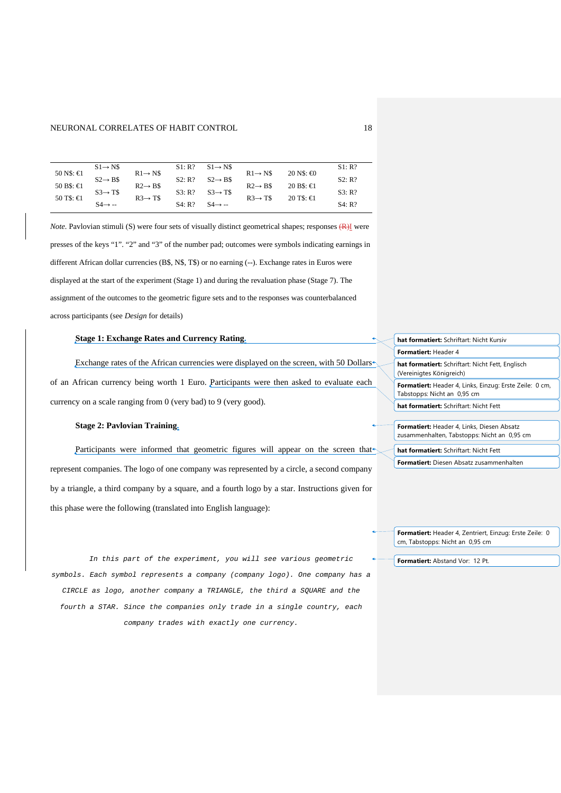|                    | $S1 \rightarrow NS$ |                     | S1:R?  | $S1 \rightarrow NS$ |                     |                               | S1: R? |
|--------------------|---------------------|---------------------|--------|---------------------|---------------------|-------------------------------|--------|
| $50$ N\$: $\in$    | $S2 \rightarrow B\$ | $R1 \rightarrow NS$ | S2: R? | $S2 \rightarrow B\$ | $R1 \rightarrow N$$ | $20 \text{ NS}$ : $\bigoplus$ | S2: R? |
| $50 B$ \$: $\in$ 1 |                     | $R2 \rightarrow B\$ |        |                     | $R2 \rightarrow B5$ | 20 B\$: $\in$                 |        |
| $50$ T\$: $\in$    | $S3 \rightarrow TS$ | $R3 \rightarrow T$$ | S3: R? | $S3 \rightarrow T5$ | $R3 \rightarrow T5$ | $20$ T\$: $\in$               | S3: R? |
|                    | $S4 \rightarrow -$  |                     | S4: R? | $S4 \rightarrow -$  |                     |                               | S4: R? |

*Note.* Pavlovian stimuli (S) were four sets of visually distinct geometrical shapes; responses (R)I were presses of the keys "1". "2" and "3" of the number pad; outcomes were symbols indicating earnings in different African dollar currencies (B\$, N\$, T\$) or no earning (--). Exchange rates in Euros were displayed at the start of the experiment (Stage 1) and during the revaluation phase (Stage 7). The assignment of the outcomes to the geometric figure sets and to the responses was counterbalanced across participants (see *Design* for details)

#### **Stage 1: Exchange Rates and Currency Rating.**

Exchange rates of the African currencies were displayed on the screen, with 50 Dollars of an African currency being worth 1 Euro. Participants were then asked to evaluate each currency on a scale ranging from 0 (very bad) to 9 (very good).

#### **Stage 2: Pavlovian Training.**

Participants were informed that geometric figures will appear on the screen that represent companies. The logo of one company was represented by a circle, a second company by a triangle, a third company by a square, and a fourth logo by a star. Instructions given for this phase were the following (translated into English language):

*In this part of the experiment, you will see various geometric symbols. Each symbol represents a company (company logo). One company has a CIRCLE as logo, another company a TRIANGLE, the third a SQUARE and the fourth a STAR. Since the companies only trade in a single country, each company trades with exactly one currency.*

| hat formatiert: Schriftart: Nicht Kursiv                                               |  |  |  |  |  |
|----------------------------------------------------------------------------------------|--|--|--|--|--|
| <b>Formatiert: Header 4</b>                                                            |  |  |  |  |  |
| hat formatiert: Schriftart: Nicht Fett, Englisch<br>(Vereinigtes Königreich)           |  |  |  |  |  |
| Formatiert: Header 4, Links, Einzug: Erste Zeile: 0 cm,<br>Tabstopps: Nicht an 0,95 cm |  |  |  |  |  |
| hat formatiert: Schriftart: Nicht Fett                                                 |  |  |  |  |  |

**Formatiert:** Header 4, Links, Diesen Absatz zusammenhalten, Tabstopps: Nicht an 0,95 cm

**hat formatiert:** Schriftart: Nicht Fett

**Formatiert:** Diesen Absatz zusammenhalten

**Formatiert:** Header 4, Zentriert, Einzug: Erste Zeile: 0 cm, Tabstopps: Nicht an 0,95 cm

**Formatiert:** Abstand Vor: 12 Pt.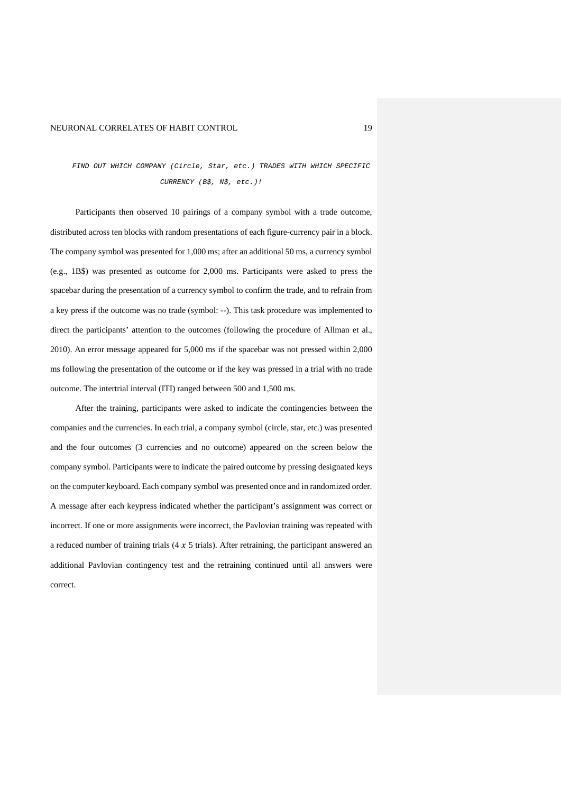# *FIND OUT WHICH COMPANY (Circle, Star, etc.) TRADES WITH WHICH SPECIFIC CURRENCY (B\$, N\$, etc.)!*

Participants then observed 10 pairings of a company symbol with a trade outcome, distributed across ten blocks with random presentations of each figure-currency pair in a block. The company symbol was presented for 1,000 ms; after an additional 50 ms, a currency symbol (e.g., 1B\$) was presented as outcome for 2,000 ms. Participants were asked to press the spacebar during the presentation of a currency symbol to confirm the trade, and to refrain from a key press if the outcome was no trade (symbol: --). This task procedure was implemented to direct the participants' attention to the outcomes (following the procedure of Allman et al., 2010). An error message appeared for 5,000 ms if the spacebar was not pressed within 2,000 ms following the presentation of the outcome or if the key was pressed in a trial with no trade outcome. The intertrial interval (ITI) ranged between 500 and 1,500 ms.

After the training, participants were asked to indicate the contingencies between the companies and the currencies. In each trial, a company symbol (circle, star, etc.) was presented and the four outcomes (3 currencies and no outcome) appeared on the screen below the company symbol. Participants were to indicate the paired outcome by pressing designated keys on the computer keyboard. Each company symbol was presented once and in randomized order. A message after each keypress indicated whether the participant's assignment was correct or incorrect. If one or more assignments were incorrect, the Pavlovian training was repeated with a reduced number of training trials  $(4 \times 5 \text{ trials})$ . After retraining, the participant answered an additional Pavlovian contingency test and the retraining continued until all answers were correct.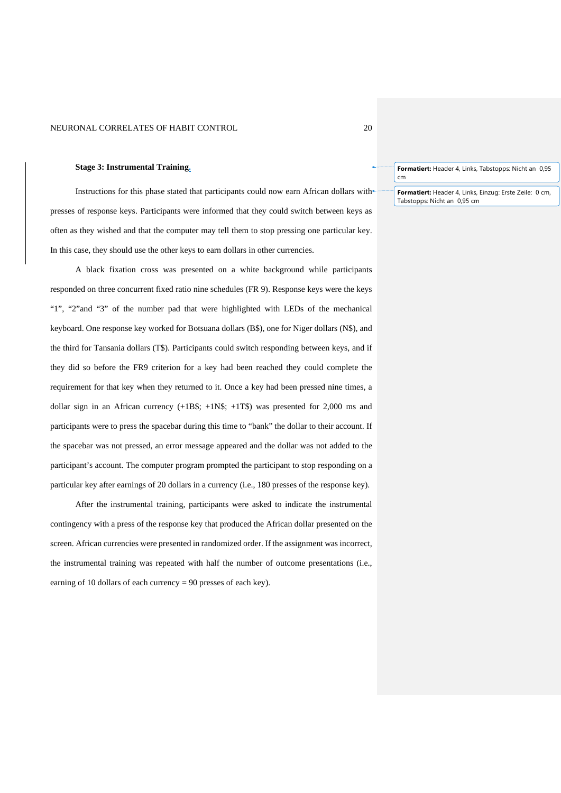#### **Stage 3: Instrumental Training.**

Instructions for this phase stated that participants could now earn African dollars with presses of response keys. Participants were informed that they could switch between keys as often as they wished and that the computer may tell them to stop pressing one particular key. In this case, they should use the other keys to earn dollars in other currencies.

A black fixation cross was presented on a white background while participants responded on three concurrent fixed ratio nine schedules (FR 9). Response keys were the keys "1", "2"and "3" of the number pad that were highlighted with LEDs of the mechanical keyboard. One response key worked for Botsuana dollars (B\$), one for Niger dollars (N\$), and the third for Tansania dollars (T\$). Participants could switch responding between keys, and if they did so before the FR9 criterion for a key had been reached they could complete the requirement for that key when they returned to it. Once a key had been pressed nine times, a dollar sign in an African currency  $(+1B\$ ; +1N\;  $+1T\$ ) was presented for 2,000 ms and participants were to press the spacebar during this time to "bank" the dollar to their account. If the spacebar was not pressed, an error message appeared and the dollar was not added to the participant's account. The computer program prompted the participant to stop responding on a particular key after earnings of 20 dollars in a currency (i.e., 180 presses of the response key).

After the instrumental training, participants were asked to indicate the instrumental contingency with a press of the response key that produced the African dollar presented on the screen. African currencies were presented in randomized order. If the assignment was incorrect, the instrumental training was repeated with half the number of outcome presentations (i.e., earning of 10 dollars of each currency  $= 90$  presses of each key).

**Formatiert:** Header 4, Links, Tabstopps: Nicht an 0,95 cm

**Formatiert:** Header 4, Links, Einzug: Erste Zeile: 0 cm, Tabstopps: Nicht an 0,95 cm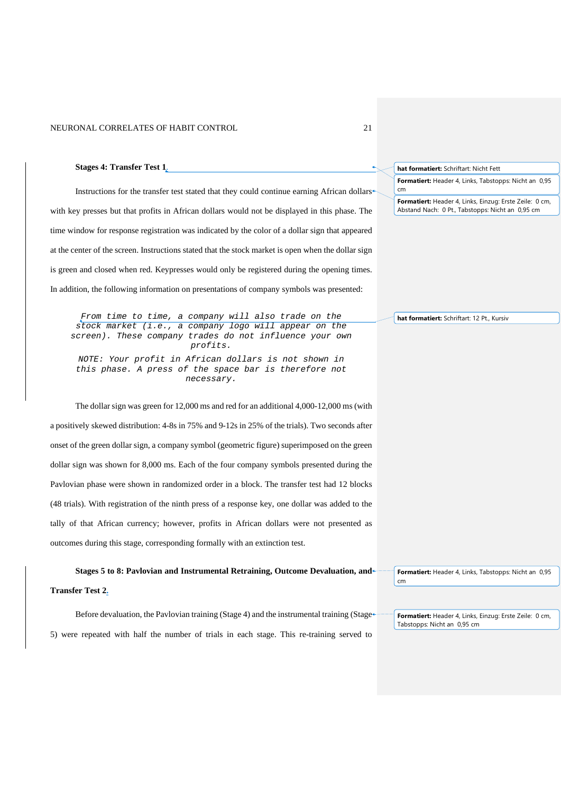**Stages 4: Transfer Test 1**.

Instructions for the transfer test stated that they could continue earning African dollars with key presses but that profits in African dollars would not be displayed in this phase. The time window for response registration was indicated by the color of a dollar sign that appeared at the center of the screen. Instructions stated that the stock market is open when the dollar sign is green and closed when red. Keypresses would only be registered during the opening times. In addition, the following information on presentations of company symbols was presented: **Formatiert:** Header 4, Links, Tabstopps: Nicht an 0,95 cm **Formatiert:** Header 4, Links, Einzug: Erste Zeile: 0 cm, Abstand Nach: 0 Pt., Tabstopps: Nicht an 0,95 cm

*From time to time, a company will also trade on the stock market (i.e., a company logo will appear on the screen). These company trades do not influence your own profits.*

*NOTE: Your profit in African dollars is not shown in this phase. A press of the space bar is therefore not necessary.*

The dollar sign was green for 12,000 ms and red for an additional 4,000-12,000 ms (with a positively skewed distribution: 4-8s in 75% and 9-12s in 25% of the trials). Two seconds after onset of the green dollar sign, a company symbol (geometric figure) superimposed on the green dollar sign was shown for 8,000 ms. Each of the four company symbols presented during the Pavlovian phase were shown in randomized order in a block. The transfer test had 12 blocks (48 trials). With registration of the ninth press of a response key, one dollar was added to the tally of that African currency; however, profits in African dollars were not presented as outcomes during this stage, corresponding formally with an extinction test.

**Stages 5 to 8: Pavlovian and Instrumental Retraining, Outcome Devaluation, and Transfer Test 2.** 

Before devaluation, the Pavlovian training (Stage 4) and the instrumental training (Stage 5) were repeated with half the number of trials in each stage. This re-training served to

**Formatiert:** Header 4, Links, Tabstopps: Nicht an 0,95 cm

**Formatiert:** Header 4, Links, Einzug: Erste Zeile: 0 cm, Tabstopps: Nicht an 0,95 cm

**hat formatiert:** Schriftart: 12 Pt., Kursiv

**hat formatiert:** Schriftart: Nicht Fett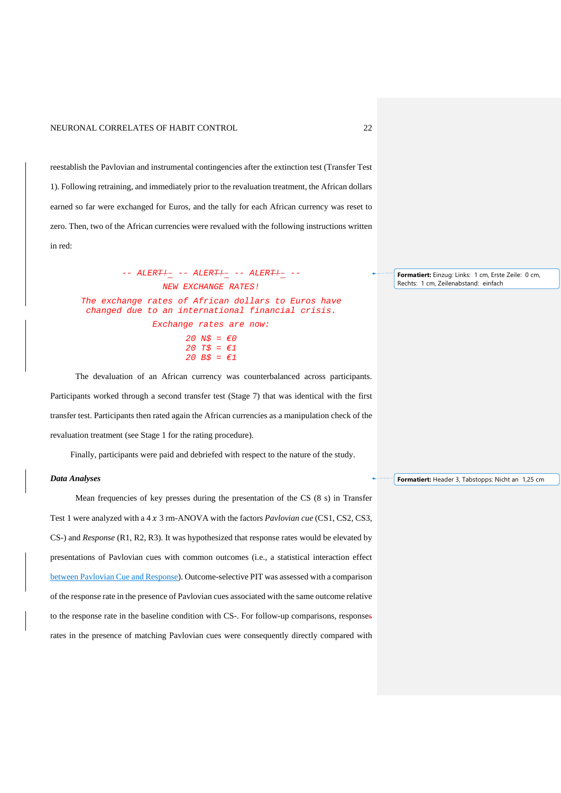reestablish the Pavlovian and instrumental contingencies after the extinction test (Transfer Test 1). Following retraining, and immediately prior to the revaluation treatment, the African dollars earned so far were exchanged for Euros, and the tally for each African currency was reset to zero. Then, two of the African currencies were revalued with the following instructions written in red:

*-- ALERT!– -- ALERT!– -- ALERT!– -- NEW EXCHANGE RATES! The exchange rates of African dollars to Euros have changed due to an international financial crisis. Exchange rates are now: 20 N\$ = €0 20 T\$ = €1 20 B\$ = €1*

The devaluation of an African currency was counterbalanced across participants. Participants worked through a second transfer test (Stage 7) that was identical with the first transfer test. Participants then rated again the African currencies as a manipulation check of the revaluation treatment (see Stage 1 for the rating procedure).

Finally, participants were paid and debriefed with respect to the nature of the study.

#### *Data Analyses*

Mean frequencies of key presses during the presentation of the CS (8 s) in Transfer Test 1 were analyzed with a 4 x 3 rm-ANOVA with the factors *Pavlovian cue* (CS1, CS2, CS3, CS-) and *Response* (R1, R2, R3). It was hypothesized that response rates would be elevated by presentations of Pavlovian cues with common outcomes (i.e., a statistical interaction effect between Pavlovian Cue and Response). Outcome-selective PIT was assessed with a comparison of the response rate in the presence of Pavlovian cues associated with the same outcome relative to the response rate in the baseline condition with CS-. For follow-up comparisons, responses rates in the presence of matching Pavlovian cues were consequently directly compared with

**Formatiert:** Einzug: Links: 1 cm, Erste Zeile: 0 cm, Rechts: 1 cm, Zeilenabstand: einfach

**Formatiert:** Header 3, Tabstopps: Nicht an 1,25 cm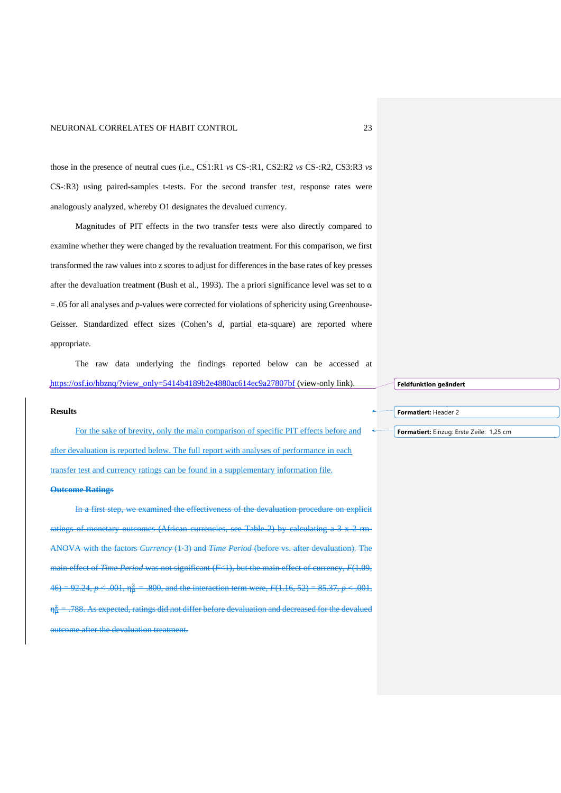those in the presence of neutral cues (i.e., CS1:R1 *vs* CS-:R1, CS2:R2 *vs* CS-:R2, CS3:R3 *vs* CS-:R3) using paired-samples t-tests. For the second transfer test, response rates were analogously analyzed, whereby O1 designates the devalued currency.

Magnitudes of PIT effects in the two transfer tests were also directly compared to examine whether they were changed by the revaluation treatment. For this comparison, we first transformed the raw values into z scores to adjust for differences in the base rates of key presses after the devaluation treatment (Bush et al., 1993). The a priori significance level was set to  $\alpha$  $= .05$  for all analyses and *p*-values were corrected for violations of sphericity using Greenhouse-Geisser. Standardized effect sizes (Cohen's *d,* partial eta-square) are reported where appropriate.

The raw data underlying the findings reported below can be accessed at [https://osf.io/hbznq/?view\\_only=5414b4189b2e4880ac614ec9a27807bf](https://osf.io/hbznq/?view_only=5414b4189b2e4880ac614ec9a27807bf) (view-only link).

## **Results**

For the sake of brevity, only the main comparison of specific PIT effects before and after devaluation is reported below. The full report with analyses of performance in each transfer test and currency ratings can be found in a supplementary information file.

#### **Outcome Ratings**

In a first step, we examined the effectiveness of the devaluation procedure on explicit ratings of monetary outcomes (African currencies, see Table 2) by calculating a 3 x 2 rm-ANOVA with the factors *Currency* (1-3) and *Time Period* (before vs. after devaluation). The main effect of *Time Period* was not significant (*F*<1), but the main effect of currency, *F*(1.09,  $46$ ) = 92.24,  $p < .001$ ,  $\eta_{\overline{p}}^2 = .800$ , and the interaction term were,  $F(1.16, 52) = 85.37$ ,  $p < .001$ ,  $n\ddot{\tilde{}}$  = 2 *=* .788. As expected, ratings did not differ before devaluation and decreased for the devalued outcome after the devaluation treatment.

**Feldfunktion geändert**

**Formatiert:** Header 2

**Formatiert:** Einzug: Erste Zeile: 1,25 cm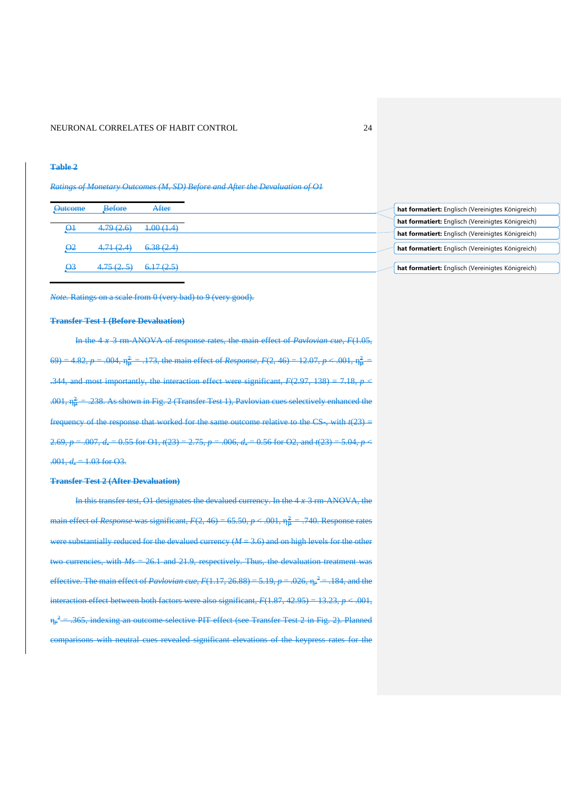#### **Table 2**

*Ratings of Monetary Outcomes (M, SD) Before and After the Devaluation of O1*

| <b>Outcome</b> | Before                              | After                |  | hat formatiert: Englisch (Vereinigtes Königreich) |
|----------------|-------------------------------------|----------------------|--|---------------------------------------------------|
|                |                                     |                      |  | hat formatiert: Englisch (Vereinigtes Königreich) |
| $\Theta$       | 4.79 (2.6)                          | 4.00(1.4)            |  | hat formatiert: Englisch (Vereinigtes Königreich) |
| О2             | 471(21)<br><del>1.71 \ 4.4</del>    | 6.38(2.4)            |  | hat formatiert: Englisch (Vereinigtes Königreich) |
|                |                                     |                      |  |                                                   |
| $\Theta$ 3     | 175 (25)<br><del>1.73 (2. 3</del> , | 617(25)<br>0.17(2.5) |  | hat formatiert: Englisch (Vereinigtes Königreich) |

*Note.* Ratings on a scale from 0 (very bad) to 9 (very good).

#### **Transfer Test 1 (Before Devaluation)**

In the 4 3 rm-ANOVA of response rates, the main effect of *Pavlovian cue*, *F*(1.05,  $(69) = 4.82, p = .004, \eta_{\overline{p}}^2 = .173$ , the main effect of *Response*,  $F(2, 46) = 12.07, p < .001, \eta_{\overline{p}}^2 = .001$ .344, and most importantly, the interaction effect were significant,  $F(2.97, 138) = 7.18$ ,  $p \le$ .<del>001,  $\eta_{\overline{p}}^2$  = .238. As shown in Fig. 2 (Transfer Test 1), Pavlovian cues selectively enhanced the</del> frequency of the response that worked for the same outcome relative to the  $CS$ , with  $t(23)$  = 2.69,  $p = .007$ ,  $d_z = 0.55$  for O1,  $t(23) = 2.75$ ,  $p = .006$ ,  $d_z = 0.56$  for O2, and  $t(23) = 5.04$ ,  $p <$  $.001, d_{\tau} = 1.03$  for O3.

#### **Transfer Test 2 (After Devaluation)**

In this transfer test, O1 designates the devalued currency. In the  $4 \times 3$  rm-ANOVA, the main effect of *Response* was significant,  $F(2, 46) = 65.50, p < .001, \eta_{\rm p}^2 = .740$ . Response rates were substantially reduced for the devalued currency (*M* = 3.6) and on high levels for the other two currencies, with *Ms* = 26.1 and 21.9, respectively. Thus, the devaluation treatment was effective. The main effect of *Pavlovian cue*,  $F(1.17, 26.88) = 5.19$ ,  $p = .026$ ,  $\eta_p^2 = .184$ , and the interaction effect between both factors were also significant,  $F(1.87, 42.95) = 13.23, p < .001$ , η<sub>p</sub><sup>2</sup> = .365, indexing an outcome-selective PIT effect (see Transfer Test 2 in Fig. 2). Planned comparisons with neutral cues revealed significant elevations of the keypress rates for the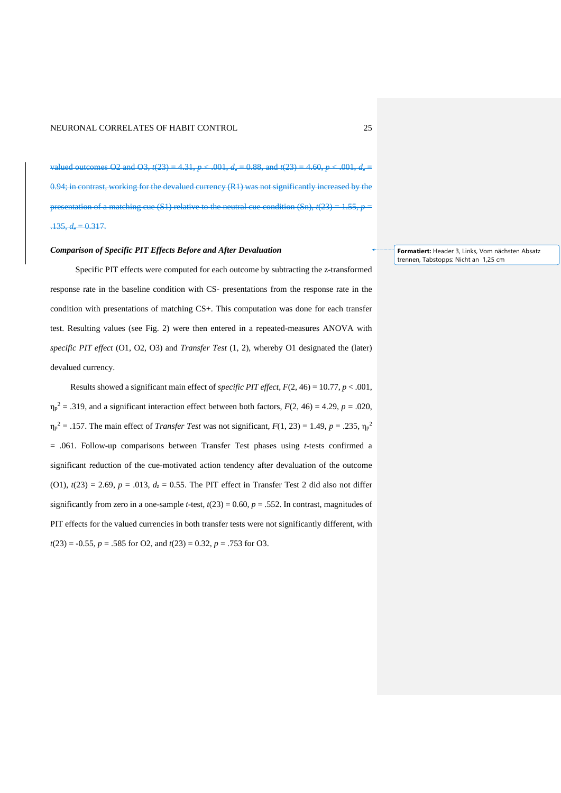valued outcomes O2 and O3,  $t(23) = 4.31$ ,  $p < .001$ ,  $d_z = 0.88$ , and  $t(23) = 4.60$ ,  $p < .001$ ,  $d_z =$  $0.94$ ; in contrast, working for the devalued currency  $(R1)$  was not significantly increased by the presentation of a matching cue (S1) relative to the neutral cue condition (Sn),  $t(23) = 1.55, p$  $.135, d = 0.317.$ 

## *Comparison of Specific PIT Effects Before and After Devaluation*

Specific PIT effects were computed for each outcome by subtracting the z-transformed response rate in the baseline condition with CS- presentations from the response rate in the condition with presentations of matching CS+. This computation was done for each transfer test. Resulting values (see Fig. 2) were then entered in a repeated-measures ANOVA with *specific PIT effect* (O1, O2, O3) and *Transfer Test* (1, 2), whereby O1 designated the (later) devalued currency.

Results showed a significant main effect of *specific PIT effect*, *F*(2, 46) = 10.77, *p* < .001,  $\eta_p^2 = .319$ , and a significant interaction effect between both factors,  $F(2, 46) = 4.29$ ,  $p = .020$ ,  $\eta_p^2 = .157$ . The main effect of *Transfer Test* was not significant,  $F(1, 23) = 1.49$ ,  $p = .235$ ,  $\eta_p^2$ = .061. Follow-up comparisons between Transfer Test phases using *t*-tests confirmed a significant reduction of the cue-motivated action tendency after devaluation of the outcome (O1),  $t(23) = 2.69$ ,  $p = .013$ ,  $d_z = 0.55$ . The PIT effect in Transfer Test 2 did also not differ significantly from zero in a one-sample *t*-test,  $t(23) = 0.60$ ,  $p = .552$ . In contrast, magnitudes of PIT effects for the valued currencies in both transfer tests were not significantly different, with *t*(23) = -0.55, *p* = .585 for O2, and *t*(23) = 0.32, *p* = .753 for O3.

**Formatiert:** Header 3, Links, Vom nächsten Absatz trennen, Tabstopps: Nicht an 1,25 cm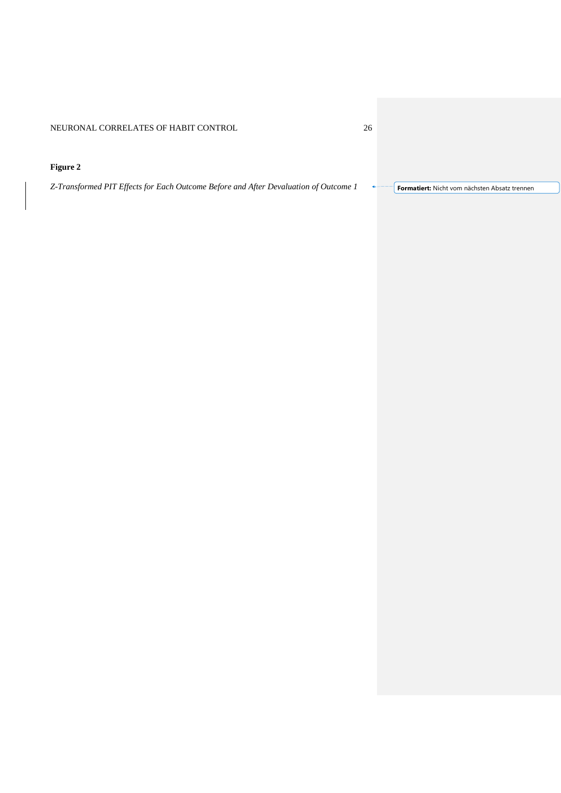## **Figure 2**

*Z-Transformed PIT Effects for Each Outcome Before and After Devaluation of Outcome 1* **Formatiert:** Nicht vom nächsten Absatz trennen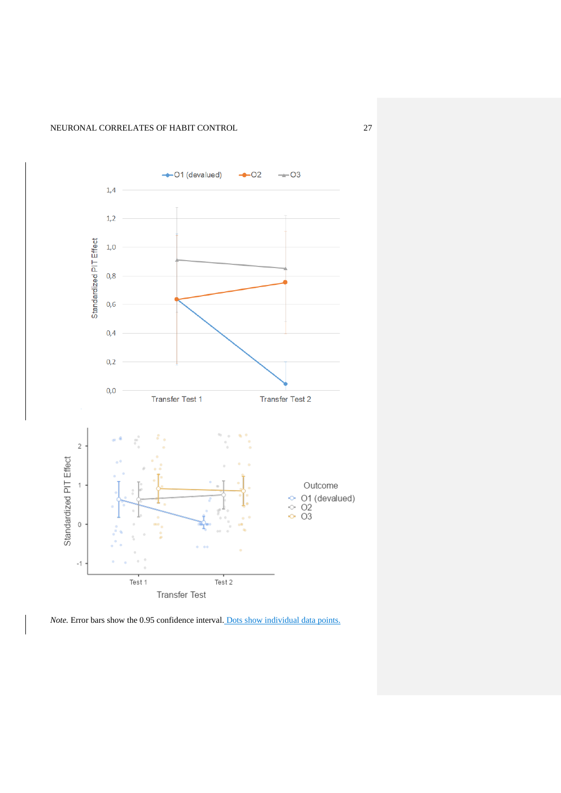

*Note.* Error bars show the 0.95 confidence interval. Dots show individual data points.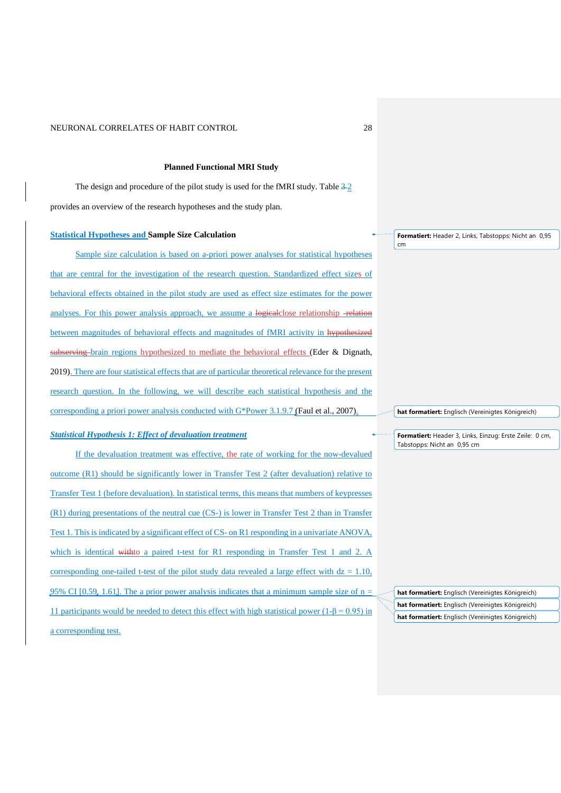#### **Planned Functional MRI Study**

The design and procedure of the pilot study is used for the fMRI study. Table  $\frac{3-2}{2}$ provides an overview of the research hypotheses and the study plan.

#### **Statistical Hypotheses and Sample Size Calculation**

Sample size calculation is based on a-priori power analyses for statistical hypotheses that are central for the investigation of the research question. Standardized effect sizes of behavioral effects obtained in the pilot study are used as effect size estimates for the power analyses. For this power analysis approach, we assume a logicalclose relationship -relation between magnitudes of behavioral effects and magnitudes of fMRI activity in hypothesized subserving brain regions hypothesized to mediate the behavioral effects (Eder & Dignath, 2019). There are four statistical effects that are of particular theoretical relevance for the present research question. In the following, we will describe each statistical hypothesis and the corresponding a priori power analysis conducted with G\*Power 3.1.9.7 (Faul et al., 2007).

#### *Statistical Hypothesis 1: Effect of devaluation treatment*

If the devaluation treatment was effective, the rate of working for the now-devalued outcome (R1) should be significantly lower in Transfer Test 2 (after devaluation) relative to Transfer Test 1 (before devaluation). In statistical terms, this means that numbers of keypresses (R1) during presentations of the neutral cue (CS-) is lower in Transfer Test 2 than in Transfer Test 1. This is indicated by a significant effect of CS- on R1 responding in a univariate ANOVA, which is identical withto a paired t-test for R1 responding in Transfer Test 1 and 2. A corresponding one-tailed t-test of the pilot study data revealed a large effect with  $dz = 1.10$ , 95% CI [0.59, 1.61]. The a prior power analysis indicates that a minimum sample size of  $n =$ 11 participants would be needed to detect this effect with high statistical power ( $1-\beta = 0.95$ ) in a corresponding test.

**Formatiert:** Header 2, Links, Tabstopps: Nicht an 0,95 cm

**hat formatiert:** Englisch (Vereinigtes Königreich)

**Formatiert:** Header 3, Links, Einzug: Erste Zeile: 0 cm, Tabstopps: Nicht an 0,95 cm

**hat formatiert:** Englisch (Vereinigtes Königreich) **hat formatiert:** Englisch (Vereinigtes Königreich) **hat formatiert:** Englisch (Vereinigtes Königreich)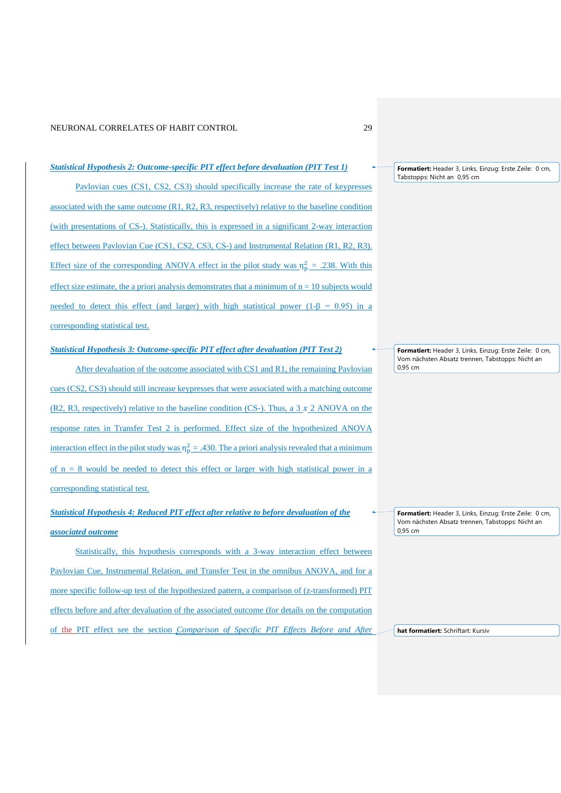#### *Statistical Hypothesis 2: Outcome-specific PIT effect before devaluation (PIT Test 1)*

Pavlovian cues (CS1, CS2, CS3) should specifically increase the rate of keypresses associated with the same outcome (R1, R2, R3, respectively) relative to the baseline condition (with presentations of CS-). Statistically, this is expressed in a significant 2-way interaction effect between Pavlovian Cue (CS1, CS2, CS3, CS-) and Instrumental Relation (R1, R2, R3). Effect size of the corresponding ANOVA effect in the pilot study was  $\eta_p^2 = .238$ . With this effect size estimate, the a priori analysis demonstrates that a minimum of  $n = 10$  subjects would needed to detect this effect (and larger) with high statistical power (1- $\beta$  = 0.95) in a corresponding statistical test.

## *Statistical Hypothesis 3: Outcome-specific PIT effect after devaluation (PIT Test 2)*

After devaluation of the outcome associated with CS1 and R1, the remaining Pavlovian cues (CS2, CS3) should still increase keypresses that were associated with a matching outcome (R2, R3, respectively) relative to the baseline condition (CS-). Thus, a  $3 \times 2$  ANOVA on the response rates in Transfer Test 2 is performed. Effect size of the hypothesized ANOVA interaction effect in the pilot study was  $\eta_p^2 = .430$ . The a priori analysis revealed that a minimum of  $n = 8$  would be needed to detect this effect or larger with high statistical power in a corresponding statistical test.

# *Statistical Hypothesis 4: Reduced PIT effect after relative to before devaluation of the associated outcome*

Statistically, this hypothesis corresponds with a 3-way interaction effect between Pavlovian Cue, Instrumental Relation, and Transfer Test in the omnibus ANOVA, and for a more specific follow-up test of the hypothesized pattern, a comparison of (z-transformed) PIT effects before and after devaluation of the associated outcome (for details on the computation of the PIT effect see the section *Comparison of Specific PIT Effects Before and After* 

**Formatiert:** Header 3, Links, Einzug: Erste Zeile: 0 cm, Tabstopps: Nicht an 0,95 cm

**Formatiert:** Header 3, Links, Einzug: Erste Zeile: 0 cm, Vom nächsten Absatz trennen, Tabstopps: Nicht an 0,95 cm

**Formatiert:** Header 3, Links, Einzug: Erste Zeile: 0 cm, Vom nächsten Absatz trennen, Tabstopps: Nicht an 0,95 cm

**hat formatiert:** Schriftart: Kursiv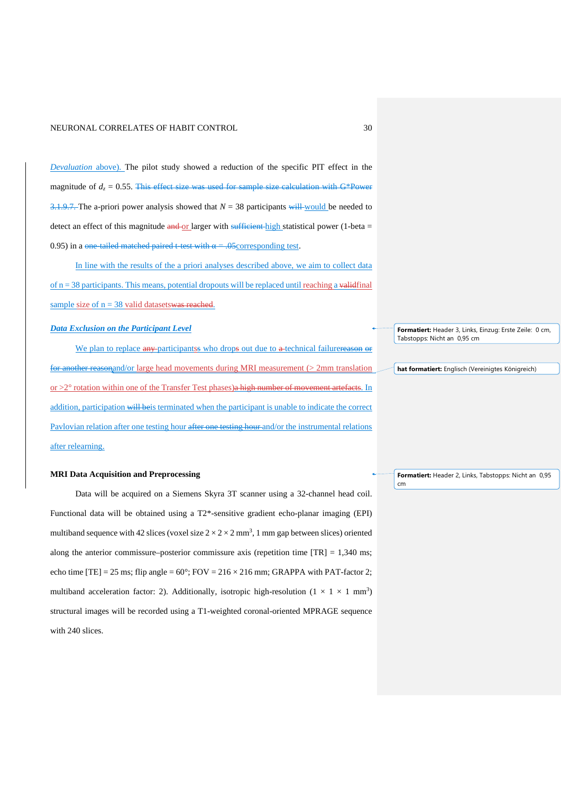*Devaluation* above). The pilot study showed a reduction of the specific PIT effect in the magnitude of  $d_z = 0.55$ . This effect size was used for sample size calculation with  $G^*$ Power  $\frac{3.1.9.7.}{4}$  The a-priori power analysis showed that  $N = 38$  participants will would be needed to detect an effect of this magnitude and or larger with sufficient high statistical power (1-beta  $=$ 0.95) in a one-tailed matched paired t-test with  $\alpha = .05$ corresponding test.

In line with the results of the a priori analyses described above, we aim to collect data of  $n = 38$  participants. This means, potential dropouts will be replaced until reaching a validinal sample size of  $n = 38$  valid datasets was reached.

## *Data Exclusion on the Participant Level*

We plan to replace any participants who drops out due to a technical failurereason or for another reasonand/or large head movements during MRI measurement (> 2mm translation or >2° rotation within one of the Transfer Test phases)a high number of movement artefacts. In addition, participation will be is terminated when the participant is unable to indicate the correct Pavlovian relation after one testing hour after one testing hour and/or the instrumental relations after relearning.

#### **MRI Data Acquisition and Preprocessing**

Data will be acquired on a Siemens Skyra 3T scanner using a 32-channel head coil. Functional data will be obtained using a T2\*-sensitive gradient echo-planar imaging (EPI) multiband sequence with 42 slices (voxel size  $2 \times 2 \times 2$  mm<sup>3</sup>, 1 mm gap between slices) oriented along the anterior commissure–posterior commissure axis (repetition time  $[TR] = 1,340$  ms; echo time  $[TE] = 25$  ms; flip angle =  $60^{\circ}$ ; FOV =  $216 \times 216$  mm; GRAPPA with PAT-factor 2; multiband acceleration factor: 2). Additionally, isotropic high-resolution  $(1 \times 1 \times 1 \text{ mm}^3)$ structural images will be recorded using a T1-weighted coronal-oriented MPRAGE sequence with 240 slices.

**Formatiert:** Header 3, Links, Einzug: Erste Zeile: 0 cm, Tabstopps: Nicht an 0,95 cm

**hat formatiert:** Englisch (Vereinigtes Königreich)

**Formatiert:** Header 2, Links, Tabstopps: Nicht an 0,95 cm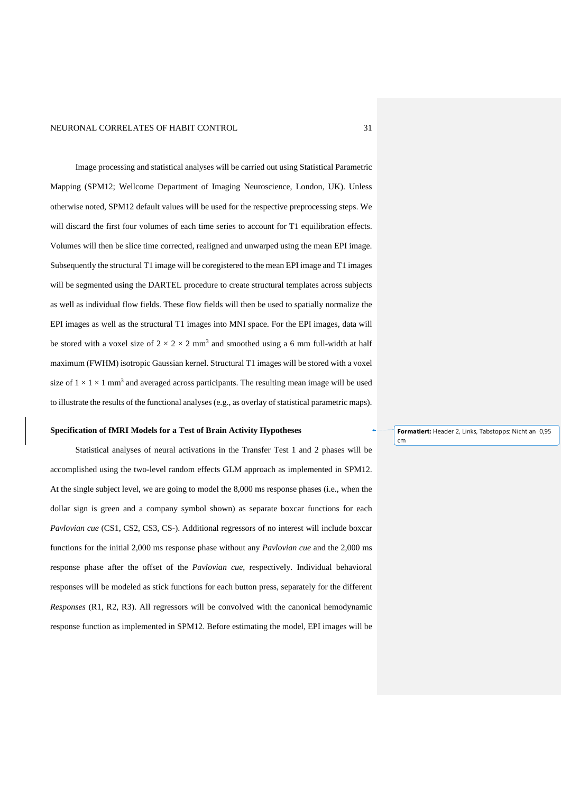Image processing and statistical analyses will be carried out using Statistical Parametric Mapping (SPM12; Wellcome Department of Imaging Neuroscience, London, UK). Unless otherwise noted, SPM12 default values will be used for the respective preprocessing steps. We will discard the first four volumes of each time series to account for T1 equilibration effects. Volumes will then be slice time corrected, realigned and unwarped using the mean EPI image. Subsequently the structural T1 image will be coregistered to the mean EPI image and T1 images will be segmented using the DARTEL procedure to create structural templates across subjects as well as individual flow fields. These flow fields will then be used to spatially normalize the EPI images as well as the structural T1 images into MNI space. For the EPI images, data will be stored with a voxel size of  $2 \times 2 \times 2$  mm<sup>3</sup> and smoothed using a 6 mm full-width at half maximum (FWHM) isotropic Gaussian kernel. Structural T1 images will be stored with a voxel size of  $1 \times 1 \times 1$  mm<sup>3</sup> and averaged across participants. The resulting mean image will be used to illustrate the results of the functional analyses (e.g., as overlay of statistical parametric maps).

#### **Specification of fMRI Models for a Test of Brain Activity Hypotheses**

Statistical analyses of neural activations in the Transfer Test 1 and 2 phases will be accomplished using the two-level random effects GLM approach as implemented in SPM12. At the single subject level, we are going to model the 8,000 ms response phases (i.e., when the dollar sign is green and a company symbol shown) as separate boxcar functions for each *Pavlovian cue* (CS1, CS2, CS3, CS-). Additional regressors of no interest will include boxcar functions for the initial 2,000 ms response phase without any *Pavlovian cue* and the 2,000 ms response phase after the offset of the *Pavlovian cue*, respectively. Individual behavioral responses will be modeled as stick functions for each button press, separately for the different *Responses* (R1, R2, R3). All regressors will be convolved with the canonical hemodynamic response function as implemented in SPM12. Before estimating the model, EPI images will be

**Formatiert:** Header 2, Links, Tabstopps: Nicht an 0,95 cm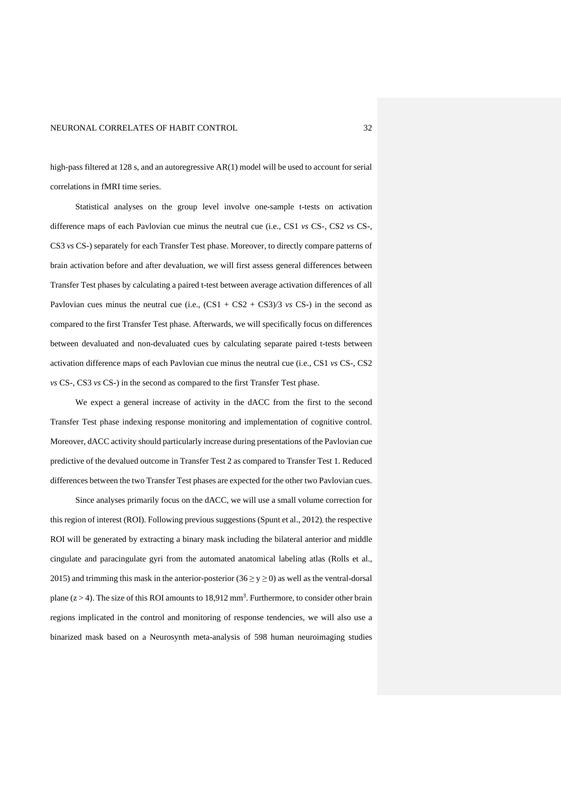high-pass filtered at 128 s, and an autoregressive AR(1) model will be used to account for serial correlations in fMRI time series.

Statistical analyses on the group level involve one-sample t-tests on activation difference maps of each Pavlovian cue minus the neutral cue (i.e., CS1 *vs* CS-, CS2 *vs* CS-, CS3 *vs* CS-) separately for each Transfer Test phase. Moreover, to directly compare patterns of brain activation before and after devaluation, we will first assess general differences between Transfer Test phases by calculating a paired t-test between average activation differences of all Pavlovian cues minus the neutral cue (i.e.,  $(CS1 + CS2 + CS3)/3$  *vs* CS-) in the second as compared to the first Transfer Test phase. Afterwards, we will specifically focus on differences between devaluated and non-devaluated cues by calculating separate paired t-tests between activation difference maps of each Pavlovian cue minus the neutral cue (i.e., CS1 *vs* CS-, CS2 *vs* CS-, CS3 *vs* CS-) in the second as compared to the first Transfer Test phase.

We expect a general increase of activity in the dACC from the first to the second Transfer Test phase indexing response monitoring and implementation of cognitive control. Moreover, dACC activity should particularly increase during presentations of the Pavlovian cue predictive of the devalued outcome in Transfer Test 2 as compared to Transfer Test 1. Reduced differences between the two Transfer Test phases are expected for the other two Pavlovian cues.

Since analyses primarily focus on the dACC, we will use a small volume correction for this region of interest (ROI). Following previous suggestions (Spunt et al., 2012), the respective ROI will be generated by extracting a binary mask including the bilateral anterior and middle cingulate and paracingulate gyri from the automated anatomical labeling atlas (Rolls et al., 2015) and trimming this mask in the anterior-posterior ( $36 \ge y \ge 0$ ) as well as the ventral-dorsal plane  $(z > 4)$ . The size of this ROI amounts to 18,912 mm<sup>3</sup>. Furthermore, to consider other brain regions implicated in the control and monitoring of response tendencies, we will also use a binarized mask based on a Neurosynth meta-analysis of 598 human neuroimaging studies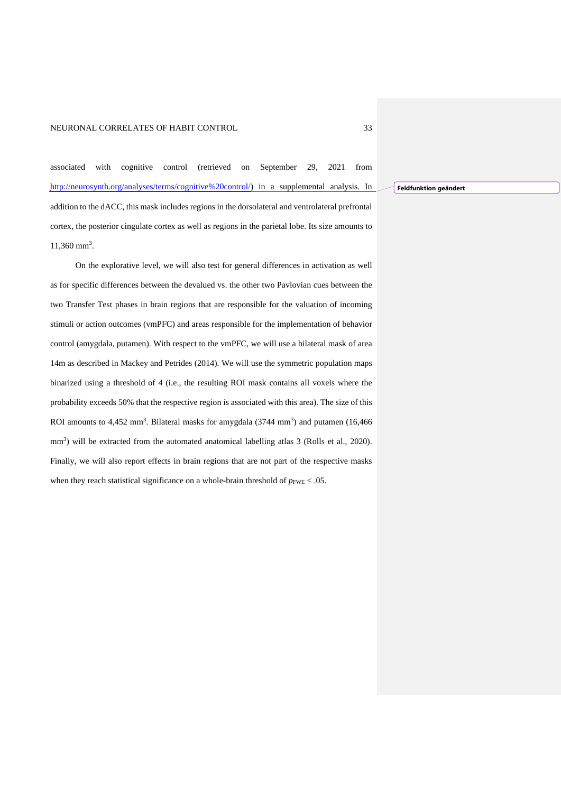associated with cognitive control (retrieved on September 29, 2021 from [http://neurosynth.org/analyses/terms/cognitive%20control/\)](http://neurosynth.org/analyses/terms/cognitive%20control/) in a supplemental analysis. In addition to the dACC, this mask includes regions in the dorsolateral and ventrolateral prefrontal cortex, the posterior cingulate cortex as well as regions in the parietal lobe. Its size amounts to 11,360 mm<sup>3</sup>.

On the explorative level, we will also test for general differences in activation as well as for specific differences between the devalued vs. the other two Pavlovian cues between the two Transfer Test phases in brain regions that are responsible for the valuation of incoming stimuli or action outcomes (vmPFC) and areas responsible for the implementation of behavior control (amygdala, putamen). With respect to the vmPFC, we will use a bilateral mask of area 14m as described in Mackey and Petrides (2014). We will use the symmetric population maps binarized using a threshold of 4 (i.e., the resulting ROI mask contains all voxels where the probability exceeds 50% that the respective region is associated with this area). The size of this ROI amounts to  $4,452$  mm<sup>3</sup>. Bilateral masks for amygdala  $(3744$  mm<sup>3</sup>) and putamen  $(16,466)$ mm<sup>3</sup>) will be extracted from the automated anatomical labelling atlas 3 (Rolls et al., 2020). Finally, we will also report effects in brain regions that are not part of the respective masks when they reach statistical significance on a whole-brain threshold of  $p_{\text{FWE}} < .05$ .

**Feldfunktion geändert**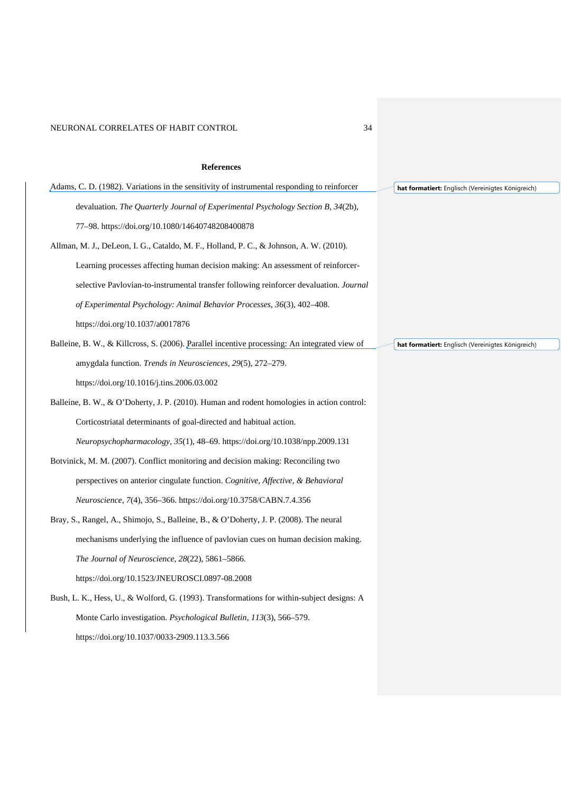## **References**

| Adams, C. D. (1982). Variations in the sensitivity of instrumental responding to reinforcer   | hat formatiert: Englisch (Vereinigtes Königreich) |
|-----------------------------------------------------------------------------------------------|---------------------------------------------------|
| devaluation. The Quarterly Journal of Experimental Psychology Section B, 34(2b),              |                                                   |
| 77-98. https://doi.org/10.1080/14640748208400878                                              |                                                   |
| Allman, M. J., DeLeon, I. G., Cataldo, M. F., Holland, P. C., & Johnson, A. W. (2010).        |                                                   |
| Learning processes affecting human decision making: An assessment of reinforcer-              |                                                   |
| selective Pavlovian-to-instrumental transfer following reinforcer devaluation. Journal        |                                                   |
| of Experimental Psychology: Animal Behavior Processes, 36(3), 402–408.                        |                                                   |
| https://doi.org/10.1037/a0017876                                                              |                                                   |
| Balleine, B. W., & Killcross, S. (2006). Parallel incentive processing: An integrated view of | hat formatiert: Englisch (Vereinigtes Königreich) |
| amygdala function. Trends in Neurosciences, 29(5), 272-279.                                   |                                                   |
| https://doi.org/10.1016/j.tins.2006.03.002                                                    |                                                   |
| Balleine, B. W., & O'Doherty, J. P. (2010). Human and rodent homologies in action control:    |                                                   |
| Corticostriatal determinants of goal-directed and habitual action.                            |                                                   |
| Neuropsychopharmacology, $35(1)$ , $48-69$ . https://doi.org/10.1038/npp.2009.131             |                                                   |
| Botvinick, M. M. (2007). Conflict monitoring and decision making: Reconciling two             |                                                   |
| perspectives on anterior cingulate function. Cognitive, Affective, & Behavioral               |                                                   |
| <i>Neuroscience, 7(4), 356–366. https://doi.org/10.3758/CABN.7.4.356</i>                      |                                                   |
| Bray, S., Rangel, A., Shimojo, S., Balleine, B., & O'Doherty, J. P. (2008). The neural        |                                                   |
| mechanisms underlying the influence of pavlovian cues on human decision making.               |                                                   |
| The Journal of Neuroscience, 28(22), 5861–5866.                                               |                                                   |
| https://doi.org/10.1523/JNEUROSCI.0897-08.2008                                                |                                                   |
| Bush, L. K., Hess, U., & Wolford, G. (1993). Transformations for within-subject designs: A    |                                                   |
| Monte Carlo investigation. <i>Psychological Bulletin</i> , 113(3), 566–579.                   |                                                   |
| https://doi.org/10.1037/0033-2909.113.3.566                                                   |                                                   |
|                                                                                               |                                                   |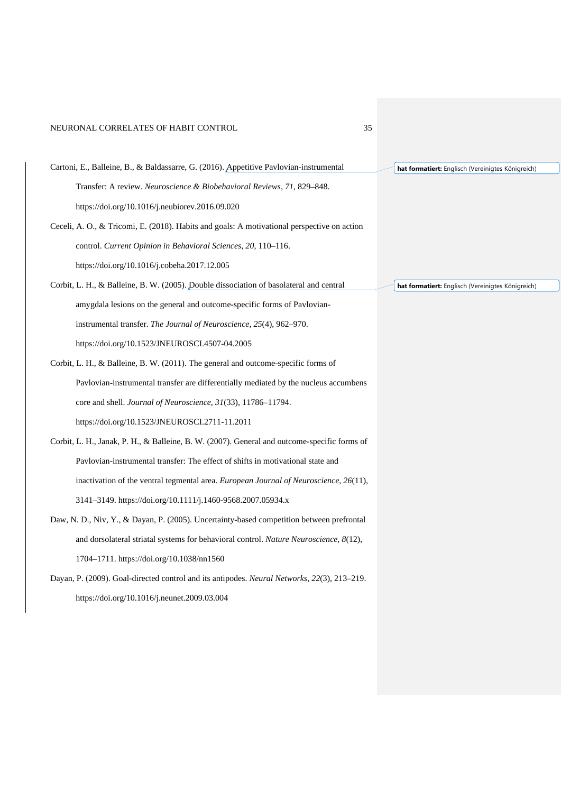| Cartoni, E., Balleine, B., & Baldassarre, G. (2016). Appetitive Pavlovian-instrumental           | hat formatiert: Englisch (Vereinigtes Königreich) |
|--------------------------------------------------------------------------------------------------|---------------------------------------------------|
| Transfer: A review. <i>Neuroscience &amp; Biobehavioral Reviews</i> , 71, 829–848.               |                                                   |
| https://doi.org/10.1016/j.neubiorev.2016.09.020                                                  |                                                   |
| Ceceli, A. O., & Tricomi, E. (2018). Habits and goals: A motivational perspective on action      |                                                   |
| control. Current Opinion in Behavioral Sciences, 20, 110-116.                                    |                                                   |
| https://doi.org/10.1016/j.cobeha.2017.12.005                                                     |                                                   |
| Corbit, L. H., & Balleine, B. W. (2005). Double dissociation of basolateral and central          | hat formatiert: Englisch (Vereinigtes Königreich) |
| amygdala lesions on the general and outcome-specific forms of Pavlovian-                         |                                                   |
| instrumental transfer. The Journal of Neuroscience, 25(4), 962–970.                              |                                                   |
| https://doi.org/10.1523/JNEUROSCI.4507-04.2005                                                   |                                                   |
| Corbit, L. H., & Balleine, B. W. (2011). The general and outcome-specific forms of               |                                                   |
| Paylovian-instrumental transfer are differentially mediated by the nucleus accumbens             |                                                   |
| core and shell. Journal of Neuroscience, 31(33), 11786-11794.                                    |                                                   |
| https://doi.org/10.1523/JNEUROSCI.2711-11.2011                                                   |                                                   |
| Corbit, L. H., Janak, P. H., & Balleine, B. W. (2007). General and outcome-specific forms of     |                                                   |
| Paylovian-instrumental transfer: The effect of shifts in motivational state and                  |                                                   |
| inactivation of the ventral tegmental area. <i>European Journal of Neuroscience</i> , $26(11)$ , |                                                   |
| 3141-3149. https://doi.org/10.1111/j.1460-9568.2007.05934.x                                      |                                                   |
| Daw, N. D., Niv, Y., & Dayan, P. (2005). Uncertainty-based competition between prefrontal        |                                                   |
| and dorsolateral striatal systems for behavioral control. <i>Nature Neuroscience</i> , $8(12)$ , |                                                   |
| 1704–1711. https://doi.org/10.1038/nn1560                                                        |                                                   |
| Dayan, P. (2009). Goal-directed control and its antipodes. Neural Networks, 22(3), 213–219.      |                                                   |
| https://doi.org/10.1016/j.neunet.2009.03.004                                                     |                                                   |
|                                                                                                  |                                                   |
|                                                                                                  |                                                   |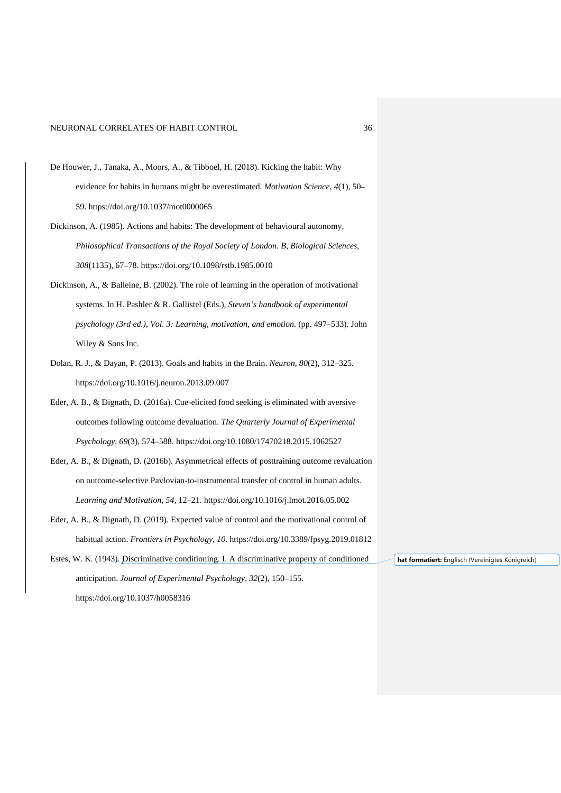- De Houwer, J., Tanaka, A., Moors, A., & Tibboel, H. (2018). Kicking the habit: Why evidence for habits in humans might be overestimated. *Motivation Science*, *4*(1), 50– 59. https://doi.org/10.1037/mot0000065
- Dickinson, A. (1985). Actions and habits: The development of behavioural autonomy. *Philosophical Transactions of the Royal Society of London. B, Biological Sciences*, *308*(1135), 67–78. https://doi.org/10.1098/rstb.1985.0010
- Dickinson, A., & Balleine, B. (2002). The role of learning in the operation of motivational systems. In H. Pashler & R. Gallistel (Eds.), *Steven's handbook of experimental psychology (3rd ed.), Vol. 3: Learning, motivation, and emotion.* (pp. 497–533). John Wiley & Sons Inc.
- Dolan, R. J., & Dayan, P. (2013). Goals and habits in the Brain. *Neuron*, *80*(2), 312–325. https://doi.org/10.1016/j.neuron.2013.09.007
- Eder, A. B., & Dignath, D. (2016a). Cue-elicited food seeking is eliminated with aversive outcomes following outcome devaluation. *The Quarterly Journal of Experimental Psychology*, *69*(3), 574–588. https://doi.org/10.1080/17470218.2015.1062527
- Eder, A. B., & Dignath, D. (2016b). Asymmetrical effects of posttraining outcome revaluation on outcome-selective Pavlovian-to-instrumental transfer of control in human adults. *Learning and Motivation*, *54*, 12–21. https://doi.org/10.1016/j.lmot.2016.05.002
- Eder, A. B., & Dignath, D. (2019). Expected value of control and the motivational control of habitual action. *Frontiers in Psychology*, *10*. https://doi.org/10.3389/fpsyg.2019.01812

Estes, W. K. (1943). Discriminative conditioning. I. A discriminative property of conditioned anticipation. *Journal of Experimental Psychology*, *32*(2), 150–155. https://doi.org/10.1037/h0058316 **hat formatiert:** Englisch (Vereinigtes Königreich)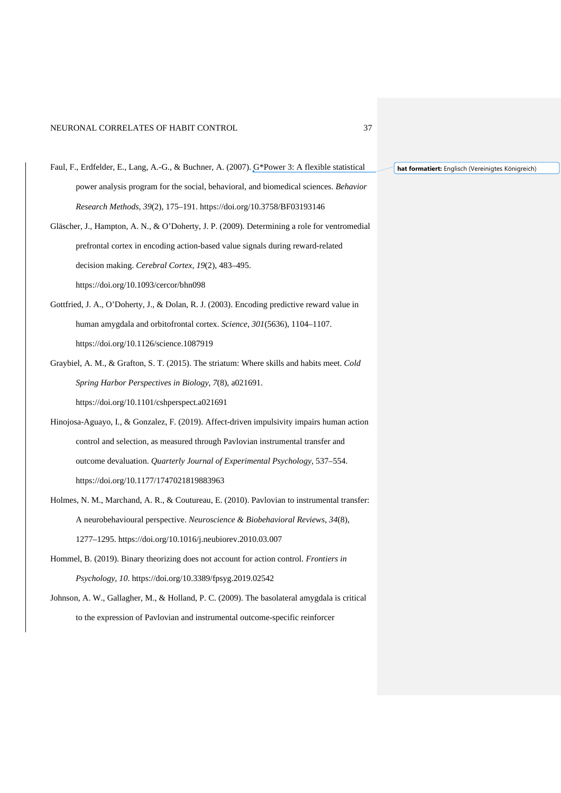- Faul, F., Erdfelder, E., Lang, A.-G., & Buchner, A. (2007). G\*Power 3: A flexible statistical power analysis program for the social, behavioral, and biomedical sciences. *Behavior Research Methods*, *39*(2), 175–191. https://doi.org/10.3758/BF03193146
- Gläscher, J., Hampton, A. N., & O'Doherty, J. P. (2009). Determining a role for ventromedial prefrontal cortex in encoding action-based value signals during reward-related decision making. *Cerebral Cortex*, *19*(2), 483–495. https://doi.org/10.1093/cercor/bhn098
- Gottfried, J. A., O'Doherty, J., & Dolan, R. J. (2003). Encoding predictive reward value in human amygdala and orbitofrontal cortex. *Science*, *301*(5636), 1104–1107. https://doi.org/10.1126/science.1087919
- Graybiel, A. M., & Grafton, S. T. (2015). The striatum: Where skills and habits meet. *Cold Spring Harbor Perspectives in Biology*, *7*(8), a021691. https://doi.org/10.1101/cshperspect.a021691
- Hinojosa-Aguayo, I., & Gonzalez, F. (2019). Affect-driven impulsivity impairs human action control and selection, as measured through Pavlovian instrumental transfer and outcome devaluation. *Quarterly Journal of Experimental Psychology*, 537–554. https://doi.org/10.1177/1747021819883963
- Holmes, N. M., Marchand, A. R., & Coutureau, E. (2010). Pavlovian to instrumental transfer: A neurobehavioural perspective. *Neuroscience & Biobehavioral Reviews*, *34*(8), 1277–1295. https://doi.org/10.1016/j.neubiorev.2010.03.007
- Hommel, B. (2019). Binary theorizing does not account for action control. *Frontiers in Psychology*, *10*. https://doi.org/10.3389/fpsyg.2019.02542
- Johnson, A. W., Gallagher, M., & Holland, P. C. (2009). The basolateral amygdala is critical to the expression of Pavlovian and instrumental outcome-specific reinforcer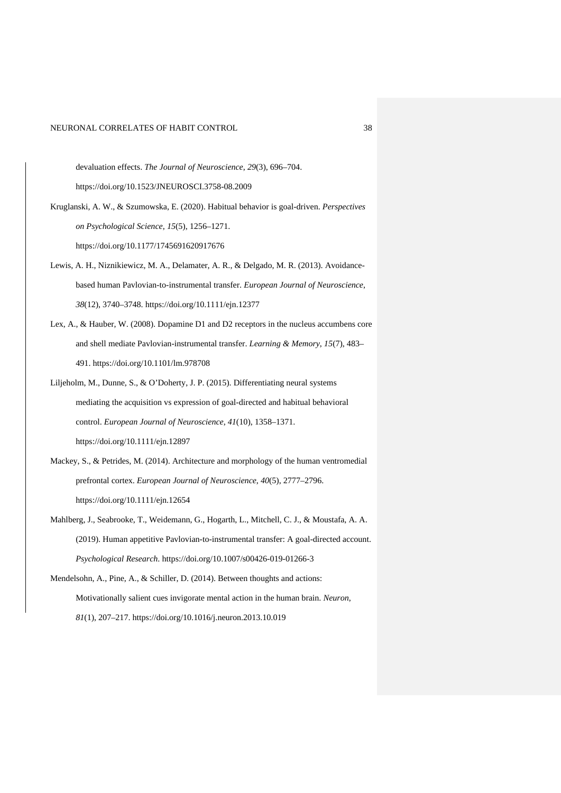devaluation effects. *The Journal of Neuroscience*, *29*(3), 696–704.

https://doi.org/10.1523/JNEUROSCI.3758-08.2009

- Kruglanski, A. W., & Szumowska, E. (2020). Habitual behavior is goal-driven. *Perspectives on Psychological Science*, *15*(5), 1256–1271. https://doi.org/10.1177/1745691620917676
- Lewis, A. H., Niznikiewicz, M. A., Delamater, A. R., & Delgado, M. R. (2013). Avoidancebased human Pavlovian-to-instrumental transfer. *European Journal of Neuroscience*, *38*(12), 3740–3748. https://doi.org/10.1111/ejn.12377
- Lex, A., & Hauber, W. (2008). Dopamine D1 and D2 receptors in the nucleus accumbens core and shell mediate Pavlovian-instrumental transfer. *Learning & Memory*, *15*(7), 483– 491. https://doi.org/10.1101/lm.978708
- Liljeholm, M., Dunne, S., & O'Doherty, J. P. (2015). Differentiating neural systems mediating the acquisition vs expression of goal-directed and habitual behavioral control. *European Journal of Neuroscience*, *41*(10), 1358–1371. https://doi.org/10.1111/ejn.12897
- Mackey, S., & Petrides, M. (2014). Architecture and morphology of the human ventromedial prefrontal cortex. *European Journal of Neuroscience*, *40*(5), 2777–2796. https://doi.org/10.1111/ejn.12654
- Mahlberg, J., Seabrooke, T., Weidemann, G., Hogarth, L., Mitchell, C. J., & Moustafa, A. A. (2019). Human appetitive Pavlovian-to-instrumental transfer: A goal-directed account. *Psychological Research*. https://doi.org/10.1007/s00426-019-01266-3
- Mendelsohn, A., Pine, A., & Schiller, D. (2014). Between thoughts and actions: Motivationally salient cues invigorate mental action in the human brain. *Neuron*, *81*(1), 207–217. https://doi.org/10.1016/j.neuron.2013.10.019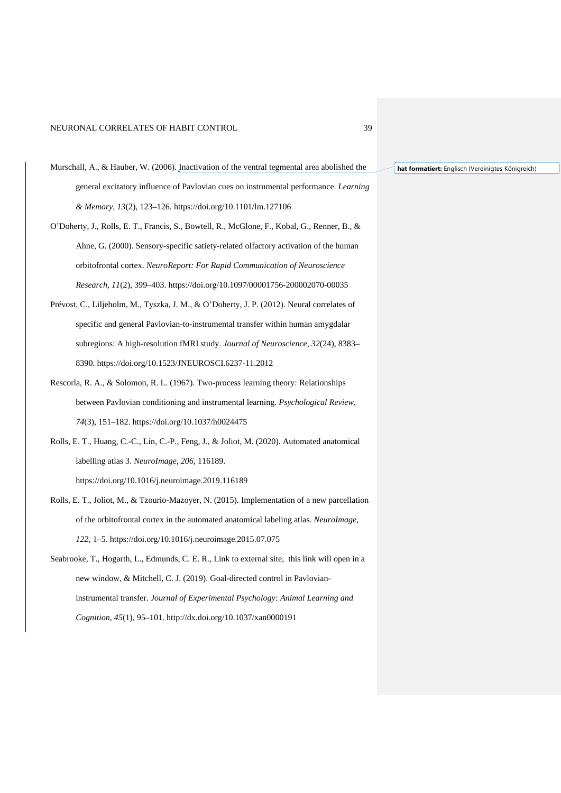- Murschall, A., & Hauber, W. (2006). Inactivation of the ventral tegmental area abolished the general excitatory influence of Pavlovian cues on instrumental performance. *Learning & Memory*, *13*(2), 123–126. https://doi.org/10.1101/lm.127106
- O'Doherty, J., Rolls, E. T., Francis, S., Bowtell, R., McGlone, F., Kobal, G., Renner, B., & Ahne, G. (2000). Sensory-specific satiety-related olfactory activation of the human orbitofrontal cortex. *NeuroReport: For Rapid Communication of Neuroscience Research*, *11*(2), 399–403. https://doi.org/10.1097/00001756-200002070-00035
- Prévost, C., Liljeholm, M., Tyszka, J. M., & O'Doherty, J. P. (2012). Neural correlates of specific and general Pavlovian-to-instrumental transfer within human amygdalar subregions: A high-resolution fMRI study. *Journal of Neuroscience*, *32*(24), 8383– 8390. https://doi.org/10.1523/JNEUROSCI.6237-11.2012
- Rescorla, R. A., & Solomon, R. L. (1967). Two-process learning theory: Relationships between Pavlovian conditioning and instrumental learning. *Psychological Review*, *74*(3), 151–182. https://doi.org/10.1037/h0024475
- Rolls, E. T., Huang, C.-C., Lin, C.-P., Feng, J., & Joliot, M. (2020). Automated anatomical labelling atlas 3. *NeuroImage*, *206*, 116189. https://doi.org/10.1016/j.neuroimage.2019.116189
- Rolls, E. T., Joliot, M., & Tzourio-Mazoyer, N. (2015). Implementation of a new parcellation of the orbitofrontal cortex in the automated anatomical labeling atlas. *NeuroImage*, *122*, 1–5. https://doi.org/10.1016/j.neuroimage.2015.07.075
- Seabrooke, T., Hogarth, L., Edmunds, C. E. R., Link to external site, this link will open in a new window, & Mitchell, C. J. (2019). Goal-directed control in Pavlovianinstrumental transfer. *Journal of Experimental Psychology: Animal Learning and Cognition*, *45*(1), 95–101. http://dx.doi.org/10.1037/xan0000191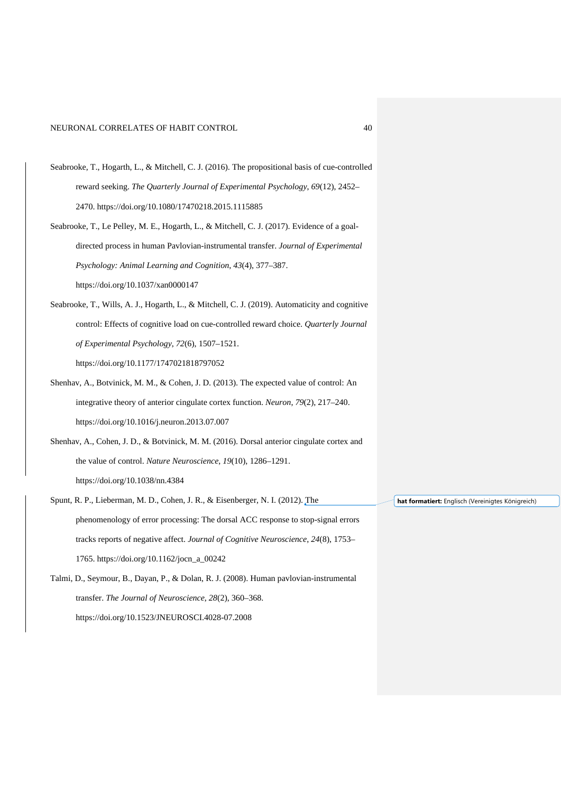- Seabrooke, T., Hogarth, L., & Mitchell, C. J. (2016). The propositional basis of cue-controlled reward seeking. *The Quarterly Journal of Experimental Psychology*, *69*(12), 2452– 2470. https://doi.org/10.1080/17470218.2015.1115885
- Seabrooke, T., Le Pelley, M. E., Hogarth, L., & Mitchell, C. J. (2017). Evidence of a goaldirected process in human Pavlovian-instrumental transfer. *Journal of Experimental Psychology: Animal Learning and Cognition*, *43*(4), 377–387. https://doi.org/10.1037/xan0000147
- Seabrooke, T., Wills, A. J., Hogarth, L., & Mitchell, C. J. (2019). Automaticity and cognitive control: Effects of cognitive load on cue-controlled reward choice. *Quarterly Journal of Experimental Psychology*, *72*(6), 1507–1521. https://doi.org/10.1177/1747021818797052
- Shenhav, A., Botvinick, M. M., & Cohen, J. D. (2013). The expected value of control: An integrative theory of anterior cingulate cortex function. *Neuron*, *79*(2), 217–240. https://doi.org/10.1016/j.neuron.2013.07.007
- Shenhav, A., Cohen, J. D., & Botvinick, M. M. (2016). Dorsal anterior cingulate cortex and the value of control. *Nature Neuroscience*, *19*(10), 1286–1291. https://doi.org/10.1038/nn.4384
- Spunt, R. P., Lieberman, M. D., Cohen, J. R., & Eisenberger, N. I. (2012). The phenomenology of error processing: The dorsal ACC response to stop-signal errors tracks reports of negative affect. *Journal of Cognitive Neuroscience*, *24*(8), 1753– 1765. https://doi.org/10.1162/jocn\_a\_00242
- Talmi, D., Seymour, B., Dayan, P., & Dolan, R. J. (2008). Human pavlovian-instrumental transfer. *The Journal of Neuroscience*, *28*(2), 360–368. https://doi.org/10.1523/JNEUROSCI.4028-07.2008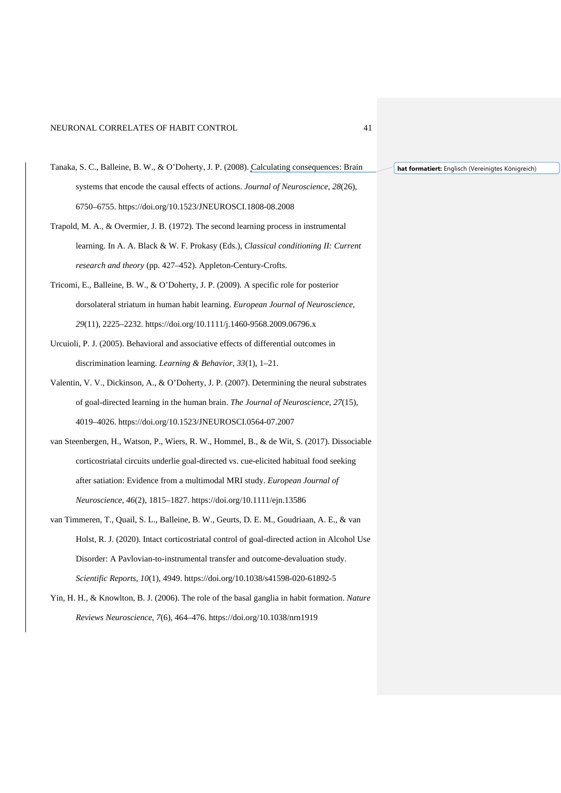- Tanaka, S. C., Balleine, B. W., & O'Doherty, J. P. (2008). Calculating consequences: Brain systems that encode the causal effects of actions. *Journal of Neuroscience*, *28*(26), 6750–6755. https://doi.org/10.1523/JNEUROSCI.1808-08.2008
- Trapold, M. A., & Overmier, J. B. (1972). The second learning process in instrumental learning. In A. A. Black & W. F. Prokasy (Eds.), *Classical conditioning II: Current research and theory* (pp. 427–452). Appleton-Century-Crofts.
- Tricomi, E., Balleine, B. W., & O'Doherty, J. P. (2009). A specific role for posterior dorsolateral striatum in human habit learning. *European Journal of Neuroscience*, *29*(11), 2225–2232. https://doi.org/10.1111/j.1460-9568.2009.06796.x
- Urcuioli, P. J. (2005). Behavioral and associative effects of differential outcomes in discrimination learning. *Learning & Behavior*, *33*(1), 1–21.
- Valentin, V. V., Dickinson, A., & O'Doherty, J. P. (2007). Determining the neural substrates of goal-directed learning in the human brain. *The Journal of Neuroscience*, *27*(15), 4019–4026. https://doi.org/10.1523/JNEUROSCI.0564-07.2007
- van Steenbergen, H., Watson, P., Wiers, R. W., Hommel, B., & de Wit, S. (2017). Dissociable corticostriatal circuits underlie goal-directed vs. cue-elicited habitual food seeking after satiation: Evidence from a multimodal MRI study. *European Journal of Neuroscience*, *46*(2), 1815–1827. https://doi.org/10.1111/ejn.13586
- van Timmeren, T., Quail, S. L., Balleine, B. W., Geurts, D. E. M., Goudriaan, A. E., & van Holst, R. J. (2020). Intact corticostriatal control of goal-directed action in Alcohol Use Disorder: A Pavlovian-to-instrumental transfer and outcome-devaluation study. *Scientific Reports*, *10*(1), 4949. https://doi.org/10.1038/s41598-020-61892-5
- Yin, H. H., & Knowlton, B. J. (2006). The role of the basal ganglia in habit formation. *Nature Reviews Neuroscience*, *7*(6), 464–476. https://doi.org/10.1038/nrn1919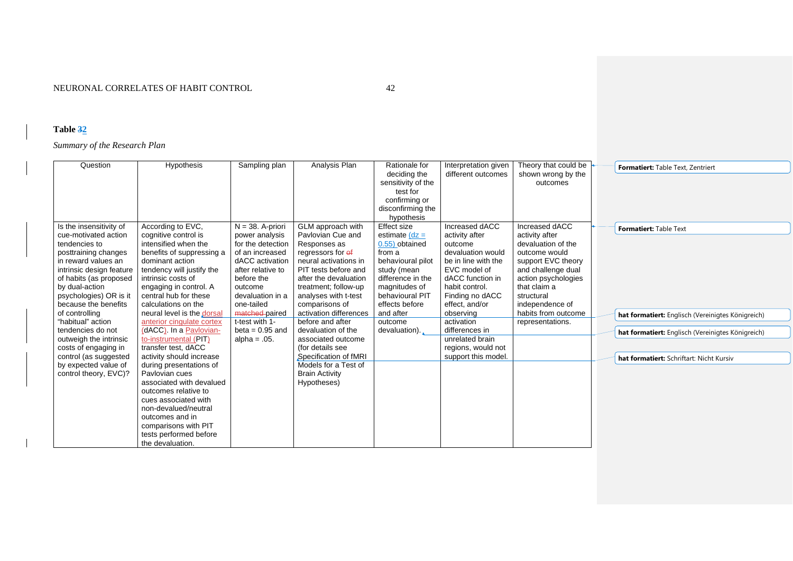# **Table 32**

*Summary of the Research Plan*

| Analysis Plan<br>Question<br>Hypothesis<br>Sampling plan<br>Theory that could be<br>Rationale for<br>Interpretation given<br>Formatiert: Table Text, Zentriert<br>deciding the<br>shown wrong by the<br>different outcomes<br>sensitivity of the<br>outcomes<br>test for<br>confirming or                                                                                                                                                                                                                                                                                                                                                                                                                                                                                                                                                                                                                                                                                                                                                                                                                                                                                                                                                                                                                                                                                                                                                                                                                                                                                                                                                                                                                                                                                                                                                                                                                                                                                                                                                                                                                                                                                                                                                                                                                                                                                                                                                                                                                                                                                                                                                                                                                                                                    |  |
|--------------------------------------------------------------------------------------------------------------------------------------------------------------------------------------------------------------------------------------------------------------------------------------------------------------------------------------------------------------------------------------------------------------------------------------------------------------------------------------------------------------------------------------------------------------------------------------------------------------------------------------------------------------------------------------------------------------------------------------------------------------------------------------------------------------------------------------------------------------------------------------------------------------------------------------------------------------------------------------------------------------------------------------------------------------------------------------------------------------------------------------------------------------------------------------------------------------------------------------------------------------------------------------------------------------------------------------------------------------------------------------------------------------------------------------------------------------------------------------------------------------------------------------------------------------------------------------------------------------------------------------------------------------------------------------------------------------------------------------------------------------------------------------------------------------------------------------------------------------------------------------------------------------------------------------------------------------------------------------------------------------------------------------------------------------------------------------------------------------------------------------------------------------------------------------------------------------------------------------------------------------------------------------------------------------------------------------------------------------------------------------------------------------------------------------------------------------------------------------------------------------------------------------------------------------------------------------------------------------------------------------------------------------------------------------------------------------------------------------------------------------|--|
| disconfirming the<br>hypothesis                                                                                                                                                                                                                                                                                                                                                                                                                                                                                                                                                                                                                                                                                                                                                                                                                                                                                                                                                                                                                                                                                                                                                                                                                                                                                                                                                                                                                                                                                                                                                                                                                                                                                                                                                                                                                                                                                                                                                                                                                                                                                                                                                                                                                                                                                                                                                                                                                                                                                                                                                                                                                                                                                                                              |  |
| Increased dACC<br>Is the insensitivity of<br>According to EVC,<br>$N = 38$ . A-priori<br>GLM approach with<br><b>Effect size</b><br>Increased dACC<br>Formatiert: Table Text<br>Pavlovian Cue and<br>cognitive control is<br>activity after<br>activity after<br>cue-motivated action<br>power analysis<br>estimate $(dz =$<br>intensified when the<br>for the detection<br>0.55) obtained<br>devaluation of the<br>tendencies to<br>Responses as<br>outcome<br>devaluation would<br>benefits of suppressing a<br>of an increased<br>regressors for of<br>outcome would<br>posttraining changes<br>from a<br>in reward values an<br>dominant action<br>dACC activation<br>neural activations in<br>be in line with the<br>support EVC theory<br>behavioural pilot<br>tendency will justify the<br>after relative to<br>PIT tests before and<br>study (mean<br>EVC model of<br>and challenge dual<br>intrinsic design feature<br>dACC function in<br>intrinsic costs of<br>before the<br>after the devaluation<br>difference in the<br>action psychologies<br>of habits (as proposed<br>by dual-action<br>habit control.<br>that claim a<br>engaging in control. A<br>treatment; follow-up<br>magnitudes of<br>outcome<br>psychologies) OR is it<br>Finding no dACC<br>central hub for these<br>devaluation in a<br>analyses with t-test<br>behavioural PIT<br>structural<br>because the benefits<br>calculations on the<br>effects before<br>independence of<br>one-tailed<br>comparisons of<br>effect, and/or<br>matched-paired<br>activation differences<br>and after<br>observing<br>habits from outcome<br>of controlling<br>neural level is the dorsal<br>hat formatiert: Englisch (Vereinigtes Königreich)<br>t-test with 1-<br>before and after<br>"habitual" action<br>anterior cingulate cortex<br>activation<br>outcome<br>representations.<br>(dACC). In a Pavlovian-<br>tendencies do not<br>$beta = 0.95$ and<br>devaluation of the<br>devaluation).<br>differences in<br>hat formatiert: Englisch (Vereinigtes Königreich)<br>to-instrumental (PIT)<br>unrelated brain<br>outweigh the intrinsic<br>alpha = $.05$ .<br>associated outcome<br>transfer test, dACC<br>costs of engaging in<br>(for details see<br>regions, would not<br>activity should increase<br>Specification of fMRI<br>support this model.<br>control (as suggested<br>hat formatiert: Schriftart: Nicht Kursiv<br>by expected value of<br>during presentations of<br>Models for a Test of<br>control theory, EVC)?<br>Pavlovian cues<br><b>Brain Activity</b><br>associated with devalued<br>Hypotheses)<br>outcomes relative to<br>cues associated with<br>non-devalued/neutral<br>outcomes and in<br>comparisons with PIT<br>tests performed before<br>the devaluation. |  |